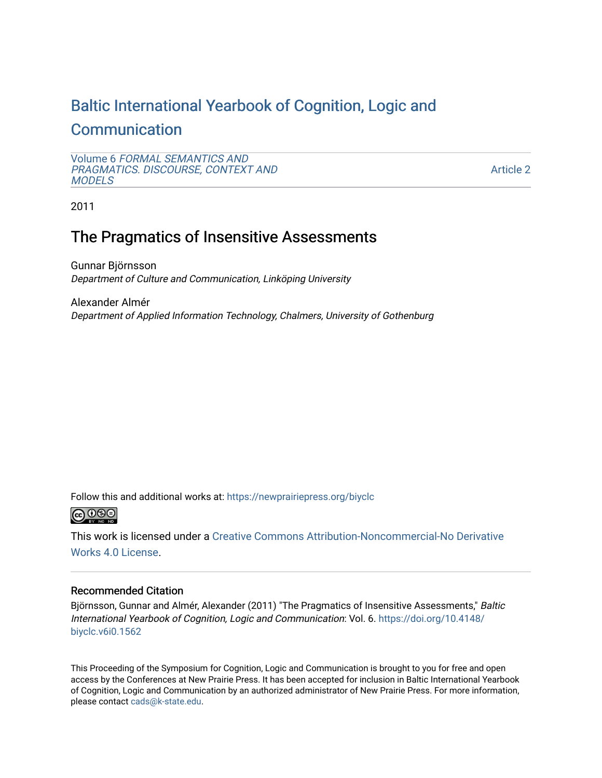# [Baltic International Yearbook of Cognition, Logic and](https://newprairiepress.org/biyclc)  **[Communication](https://newprairiepress.org/biyclc)**

```
Volume 6 FORMAL SEMANTICS AND 
PRAGMATICS. DISCOURSE, CONTEXT AND 
MODELS
```
[Article 2](https://newprairiepress.org/biyclc/vol6/iss1/2) 

2011

# The Pragmatics of Insensitive Assessments

Gunnar Björnsson Department of Culture and Communication, Linköping University

Alexander Almér Department of Applied Information Technology, Chalmers, University of Gothenburg

Follow this and additional works at: [https://newprairiepress.org/biyclc](https://newprairiepress.org/biyclc?utm_source=newprairiepress.org%2Fbiyclc%2Fvol6%2Fiss1%2F2&utm_medium=PDF&utm_campaign=PDFCoverPages) 



This work is licensed under a [Creative Commons Attribution-Noncommercial-No Derivative](https://creativecommons.org/licenses/by-nc-nd/4.0/)  [Works 4.0 License](https://creativecommons.org/licenses/by-nc-nd/4.0/).

# Recommended Citation

Björnsson, Gunnar and Almér, Alexander (2011) "The Pragmatics of Insensitive Assessments," Baltic International Yearbook of Cognition, Logic and Communication: Vol. 6. [https://doi.org/10.4148/](https://doi.org/10.4148/biyclc.v6i0.1562) [biyclc.v6i0.1562](https://doi.org/10.4148/biyclc.v6i0.1562) 

This Proceeding of the Symposium for Cognition, Logic and Communication is brought to you for free and open access by the Conferences at New Prairie Press. It has been accepted for inclusion in Baltic International Yearbook of Cognition, Logic and Communication by an authorized administrator of New Prairie Press. For more information, please contact [cads@k-state.edu.](mailto:cads@k-state.edu)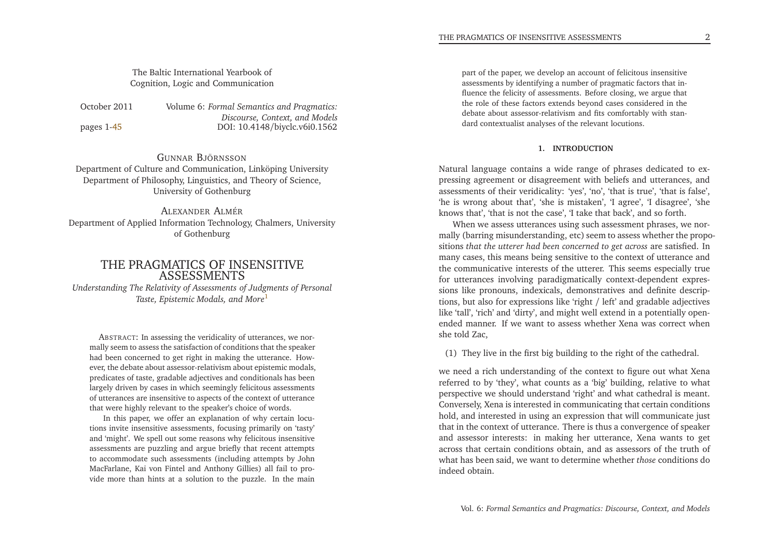# The Baltic International Yearbook ofCognition, Logic and Communication

October 2011 *Formal Semantics and Pragmatics: Discourse, Context, and Models* DOI: 10.4148/biyclc.v6i0.1562 pages 1[-45](#page-23-0)

GUNNAR <sup>B</sup>JÖRNSSON Department of Culture and Communication, Linköping UniversityDepartment of Philosophy, Linguistics, and Theory of Science, University of Gothenburg

ALEXANDER <sup>A</sup>LMÉR Department of Applied Information Technology, Chalmers, Universityof Gothenburg

## THE PRAGMATICS OF INSENSITIVEASSESSMENTS*Understanding The Relativity of Assessments of Judgments of Personal*

<span id="page-1-0"></span>*Taste, Epistemic Modals, and More*[1](#page-20-0)

ABSTRACT: In assessing the veridicality of utterances, we normally seem to assess the satisfaction of conditions that the speaker had been concerned to ge<sup>t</sup> right in making the utterance. However, the debate about assessor-relativism about epistemic modals, predicates of taste, gradable adjectives and conditionals has been largely driven by cases in which seemingly felicitous assessments of utterances are insensitive to aspects of the context of utterancethat were highly relevant to the speaker's choice of words.

In this paper, we offer an explanation of why certain locutions invite insensitive assessments, focusing primarily on 'tasty' and 'might'. We spell out some reasons why felicitous insensitive assessments are puzzling and argue briefly that recent attempts to accommodate such assessments (including attempts by John MacFarlane, Kai von Fintel and Anthony Gillies) all fail to provide more than hints at <sup>a</sup> solution to the puzzle. In the main par<sup>t</sup> of the paper, we develop an account of felicitous insensitive assessments by identifying <sup>a</sup> number of pragmatic factors that influence the felicity of assessments. Before closing, we argue that the role of these factors extends beyond cases considered in the debate about assessor-relativism and fits comfortably with standard contextualist analyses of the relevant locutions.

#### **1. INTRODUCTION**

Natural language contains <sup>a</sup> wide range of <sup>p</sup>hrases dedicated to expressing agreemen<sup>t</sup> or disagreement with beliefs and utterances, and assessments of their veridicality: 'yes', 'no', 'that is true', 'that is false', 'he is wrong about that', 'she is mistaken', 'I agree', 'I disagree', 'sheknows that', 'that is not the case', 'I take that back', and so forth.

When we assess utterances using such assessment <sup>p</sup>hrases, we normally (barring misunderstanding, etc) seem to assess whether the propositions *that the utterer had been concerned to ge<sup>t</sup> across* are satisfied. In many cases, this means being sensitive to the context of utterance and the communicative interests of the utterer. This seems especially true for utterances involving paradigmatically context-dependent expressions like pronouns, indexicals, demonstratives and definite descriptions, but also for expressions like 'right / left' and gradable adjectives like 'tall', 'rich' and 'dirty', and might well extend in <sup>a</sup> potentially openended manner. If we want to assess whether Xena was correct whenshe told Zac,

(1) They live in the first big building to the right of the cathedral.

we need <sup>a</sup> rich understanding of the context to figure out what Xena referred to by 'they', what counts as <sup>a</sup> 'big' building, relative to what perspective we should understand 'right' and what cathedral is meant. Conversely, Xena is interested in communicating that certain conditions hold, and interested in using an expression that will communicate just that in the context of utterance. There is thus <sup>a</sup> convergence of speaker and assessor interests: in making her utterance, Xena wants to ge<sup>t</sup> across that certain conditions obtain, and as assessors of the truth of what has been said, we want to determine whether *those* conditions doindeed obtain.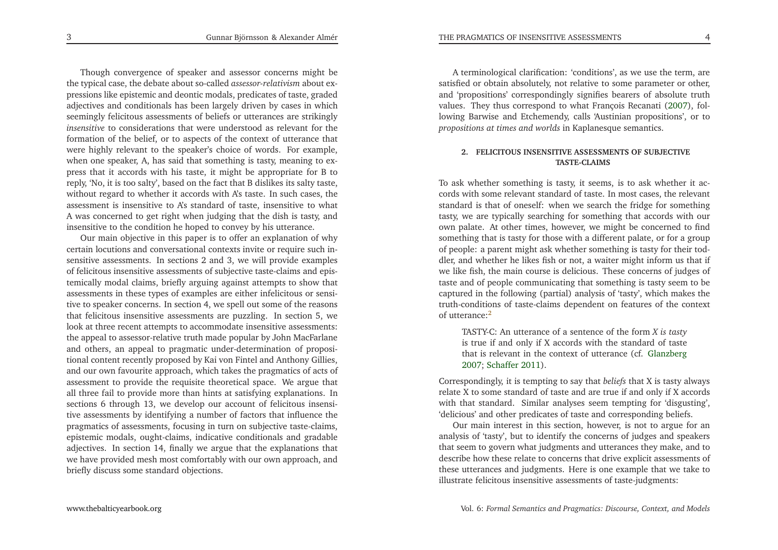<span id="page-2-0"></span>Though convergence of speaker and assessor concerns might be the typical case, the debate about so-called *assessor-relativism* about expressions like epistemic and deontic modals, predicates of taste, graded adjectives and conditionals has been largely driven by cases in which seemingly felicitous assessments of beliefs or utterances are strikingly *insensitive* to considerations that were understood as relevant for the formation of the belief, or to aspects of the context of utterance that were highly relevant to the speaker's choice of words. For example, when one speaker, A, has said that something is tasty, meaning to express that it accords with his taste, it might be appropriate for <sup>B</sup> to reply, 'No, it is too salty', based on the fact that <sup>B</sup> dislikes its salty taste, without regard to whether it accords with A's taste. In such cases, the assessment is insensitive to A's standard of taste, insensitive to what <sup>A</sup> was concerned to ge<sup>t</sup> right when judging that the dish is tasty, andinsensitive to the condition he hoped to convey by his utterance.

Our main objective in this paper is to offer an explanation of why certain locutions and conversational contexts invite or require such insensitive assessments. In sections <sup>2</sup> and 3, we will provide examples of felicitous insensitive assessments of subjective taste-claims and epistemically modal claims, briefly arguing against attempts to show that assessments in these types of examples are either infelicitous or sensitive to speaker concerns. In section 4, we spell out some of the reasons that felicitous insensitive assessments are puzzling. In section 5, we look at three recent attempts to accommodate insensitive assessments: the appeal to assessor-relative truth made popular by John MacFarlane and others, an appeal to pragmatic under-determination of propositional content recently proposed by Kai von Fintel and Anthony Gillies, and our own favourite approach, which takes the pragmatics of acts of assessment to provide the requisite theoretical space. We argue that all three fail to provide more than hints at satisfying explanations. In sections 6 through 13, we develop our account of felicitous insensitive assessments by identifying <sup>a</sup> number of factors that influence the pragmatics of assessments, focusing in turn on subjective taste-claims, epistemic modals, ought-claims, indicative conditionals and gradable adjectives. In section 14, finally we argue that the explanations that we have provided mesh most comfortably with our own approach, andbriefly discuss some standard objections.

<sup>A</sup> terminological clarification: 'conditions', as we use the term, are satisfied or obtain absolutely, not relative to some parameter or other, and 'propositions' correspondingly signifies bearers of absolute truth values. They thus correspond to what François Recanati [\(2007](#page-23-1)), following Barwise and Etchemendy, calls 'Austinian propositions', or to*propositions at times and worlds* in Kaplanesque semantics.

#### **2. FELICITOUS INSENSITIVE ASSESSMENTS OF SUBJECTIVETASTE-CLAIMS**

To ask whether something is tasty, it seems, is to ask whether it accords with some relevant standard of taste. In most cases, the relevant standard is that of oneself: when we search the fridge for something tasty, we are typically searching for something that accords with our own palate. At other times, however, we might be concerned to find something that is tasty for those with <sup>a</sup> different palate, or for <sup>a</sup> group of people: <sup>a</sup> paren<sup>t</sup> might ask whether something is tasty for their toddler, and whether he likes fish or not, <sup>a</sup> waiter might inform us that if we like fish, the main course is delicious. These concerns of judges of taste and of people communicating that something is tasty seem to be captured in the following (partial) analysis of 'tasty', which makes the truth-conditions of taste-claims dependent on features of the contextof utterance:[2](#page-21-0)

TASTY-C: An utterance of <sup>a</sup> sentence of the form *<sup>X</sup> is tasty* is true if and only if <sup>X</sup> accords with the standard of taste that is relevant in the context of utterance (cf. [Glanzberg](#page-23-2)[2007](#page-23-2); [Schaffer](#page-23-3) [2011](#page-23-3)).

Correspondingly, it is tempting to say that *beliefs* that <sup>X</sup> is tasty always relate <sup>X</sup> to some standard of taste and are true if and only if <sup>X</sup> accords with that standard. Similar analyses seem tempting for 'disgusting', 'delicious' and other predicates of taste and corresponding beliefs.

Our main interest in this section, however, is not to argue for an analysis of 'tasty', but to identify the concerns of judges and speakers that seem to govern what judgments and utterances they make, and to describe how these relate to concerns that drive explicit assessments of these utterances and judgments. Here is one example that we take toillustrate felicitous insensitive assessments of taste-judgments: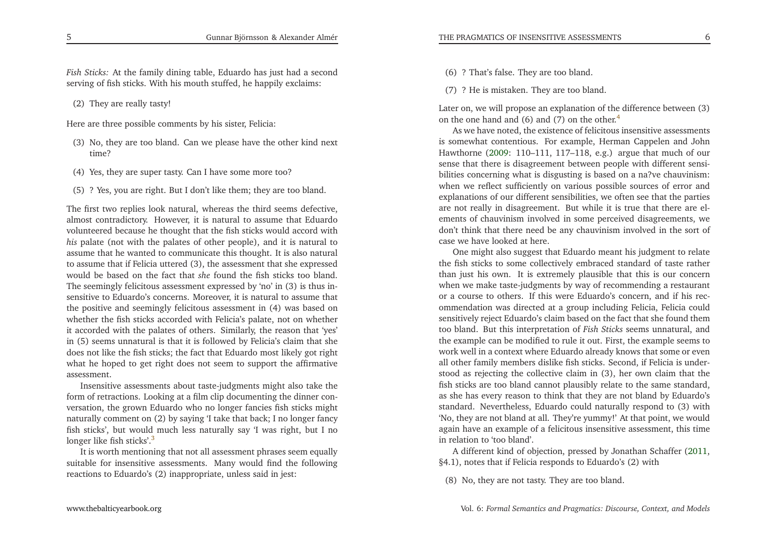*Fish Sticks:* At the family dining table, Eduardo has just had <sup>a</sup> secondserving of fish sticks. With his mouth stuffed, he happily exclaims:

(2) They are really tasty!

Here are three possible comments by his sister, Felicia:

- <span id="page-3-0"></span>(3) No, they are too bland. Can we <sup>p</sup>lease have the other kind nexttime?
- (4) Yes, they are super tasty. Can <sup>I</sup> have some more too?
- (5) ? Yes, you are right. But <sup>I</sup> don't like them; they are too bland.

The first two replies look natural, whereas the third seems defective, almost contradictory. However, it is natural to assume that Eduardo volunteered because he thought that the fish sticks would accord with *his* palate (not with the palates of other people), and it is natural to assume that he wanted to communicate this thought. It is also natural to assume that if Felicia uttered (3), the assessment that she expressed would be based on the fact that *she* found the fish sticks too bland. The seemingly felicitous assessment expressed by 'no' in (3) is thus insensitive to Eduardo's concerns. Moreover, it is natural to assume that the positive and seemingly felicitous assessment in (4) was based on whether the fish sticks accorded with Felicia's palate, not on whether it accorded with the palates of others. Similarly, the reason that 'yes' in (5) seems unnatural is that it is followed by Felicia's claim that she does not like the fish sticks; the fact that Eduardo most likely go<sup>t</sup> right what he hoped to ge<sup>t</sup> right does not seem to suppor<sup>t</sup> the affirmativeassessment.

Insensitive assessments about taste-judgments might also take the form of retractions. Looking at <sup>a</sup> film clip documenting the dinner conversation, the grown Eduardo who no longer fancies fish sticks might naturally comment on (2) by saying 'I take that back; <sup>I</sup> no longer fancy fish sticks', but would much less naturally say 'I was right, but <sup>I</sup> nolonger like fish sticks'.<sup>[3](#page-21-1)</sup>

It is worth mentioning that not all assessment <sup>p</sup>hrases seem equally suitable for insensitive assessments. Many would find the followingreactions to Eduardo's (2) inappropriate, unless said in jest:

(6) ? That's false. They are too bland.

(7) ? He is mistaken. They are too bland.

Later on, we will propose an explanation of the difference between (3)on the one hand and  $(6)$  and  $(7)$  on the other.<sup>[4](#page-21-2)</sup>

As we have noted, the existence of felicitous insensitive assessments is somewhat contentious. For example, Herman Cappelen and John Hawthorne [\(2009](#page-22-0): 110–111, 117–118, e.g.) argue that much of our sense that there is disagreement between people with different sensibilities concerning what is disgusting is based on <sup>a</sup> na?ve chauvinism: when we reflect sufficiently on various possible sources of error and explanations of our different sensibilities, we often see that the parties are not really in disagreement. But while it is true that there are elements of chauvinism involved in some perceived disagreements, we don't think that there need be any chauvinism involved in the sort of case we have looked at here.

<span id="page-3-1"></span>One might also sugges<sup>t</sup> that Eduardo meant his judgment to relate the fish sticks to some collectively embraced standard of taste rather than just his own. It is extremely <sup>p</sup>lausible that this is our concern when we make taste-judgments by way of recommending <sup>a</sup> restaurant or <sup>a</sup> course to others. If this were Eduardo's concern, and if his recommendation was directed at <sup>a</sup> group including Felicia, Felicia could sensitively reject Eduardo's claim based on the fact that she found them too bland. But this interpretation of *Fish Sticks* seems unnatural, and the example can be modified to rule it out. First, the example seems to work well in <sup>a</sup> context where Eduardo already knows that some or even all other family members dislike fish sticks. Second, if Felicia is understood as rejecting the collective claim in (3), her own claim that the<br>fish sticks are too bland segment playsibly relate to the same standard fish sticks are too bland cannot <sup>p</sup>lausibly relate to the same standard, as she has every reason to think that they are not bland by Eduardo's standard. Nevertheless, Eduardo could naturally respond to (3) with 'No, they are not bland at all. They're yummy!' At that point, we would again have an example of <sup>a</sup> felicitous insensitive assessment, this timein relation to 'too bland'.

<sup>A</sup> different kind of objection, pressed by Jonathan Schaffer [\(2011,](#page-23-3) §4.1), notes that if Felicia responds to Eduardo's (2) with

(8) No, they are not tasty. They are too bland.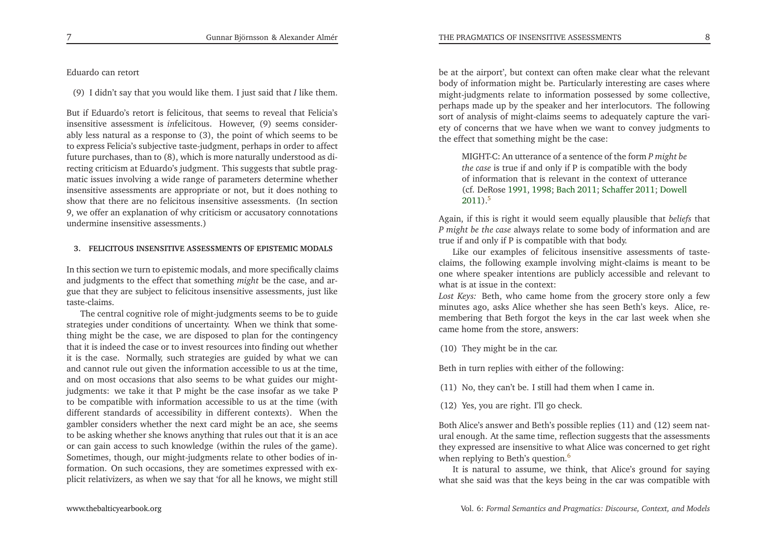#### Eduardo can retort

(9) <sup>I</sup> didn't say that you would like them. <sup>I</sup> just said that *<sup>I</sup>* like them.

But if Eduardo's retort is felicitous, that seems to reveal that Felicia's insensitive assessment is *in*felicitous. However, (9) seems considerably less natural as <sup>a</sup> response to (3), the point of which seems to be to express Felicia's subjective taste-judgment, perhaps in order to affect future purchases, than to (8), which is more naturally understood as directing criticism at Eduardo's judgment. This suggests that subtle pragmatic issues involving <sup>a</sup> wide range of parameters determine whether insensitive assessments are appropriate or not, but it does nothing to show that there are no felicitous insensitive assessments. (In section 9, we offer an explanation of why criticism or accusatory connotationsundermine insensitive assessments.)

#### <span id="page-4-1"></span>**3. FELICITOUS INSENSITIVE ASSESSMENTS OF EPISTEMIC MODALS**

In this section we turn to epistemic modals, and more specifically claims and judgments to the effect that something *might* be the case, and argue that they are subject to felicitous insensitive assessments, just liketaste-claims.

The central cognitive role of might-judgments seems to be to guide strategies under conditions of uncertainty. When we think that something might be the case, we are disposed to <sup>p</sup>lan for the contingency that it is indeed the case or to invest resources into finding out whether it is the case. Normally, such strategies are guided by what we can and cannot rule out <sup>g</sup>iven the information accessible to us at the time, and on most occasions that also seems to be what guides our mightjudgments: we take it that <sup>P</sup> might be the case insofar as we take <sup>P</sup> to be compatible with information accessible to us at the time (with different standards of accessibility in different contexts). When the gambler considers whether the next card might be an ace, she seems to be asking whether she knows anything that rules out that it is an ace or can gain access to such knowledge (within the rules of the game). Sometimes, though, our might-judgments relate to other bodies of information. On such occasions, they are sometimes expressed with ex<sup>p</sup>licit relativizers, as when we say that 'for all he knows, we might still

<span id="page-4-0"></span>be at the airport', but context can often make clear what the relevant body of information might be. Particularly interesting are cases where might-judgments relate to information possessed by some collective, perhaps made up by the speaker and her interlocutors. The following sort of analysis of might-claims seems to adequately capture the variety of concerns that we have when we want to convey judgments tothe effect that something might be the case:

THE PRAGMATICS OF INSENSITIVE ASSESSMENTS

MIGHT-C: An utterance of <sup>a</sup> sentence of the form *<sup>P</sup> might be the case* is true if and only if <sup>P</sup> is compatible with the body of information that is relevant in the context of utterance (cf. DeRose [1991](#page-22-1), [1998](#page-22-2); [Bach](#page-22-3) [2011](#page-22-3); [Schaffer](#page-23-3) [2011](#page-23-3); [Dowell](#page-22-4) [2011](#page-22-4)).<sup>[5](#page-21-3)</sup>

Again, if this is right it would seem equally <sup>p</sup>lausible that *beliefs* that *<sup>P</sup> might be the case* always relate to some body of information and aretrue if and only if <sup>P</sup> is compatible with that body.

Like our examples of felicitous insensitive assessments of tasteclaims, the following example involving might-claims is meant to be one where speaker intentions are publicly accessible and relevant towhat is at issue in the context:

*Lost Keys:* Beth, who came home from the grocery store only <sup>a</sup> few minutes ago, asks Alice whether she has seen Beth's keys. Alice, remembering that Beth forgot the keys in the car last week when shecame home from the store, answers:

(10) They might be in the car.

Beth in turn replies with either of the following:

(11) No, they can't be. <sup>I</sup> still had them when <sup>I</sup> came in.

(12) Yes, you are right. I'll go check.

Both Alice's answer and Beth's possible replies (11) and (12) seem natural enough. At the same time, reflection suggests that the assessments they expressed are insensitive to what Alice was concerned to ge<sup>t</sup> rightwhen replying to Beth's question. [6](#page-21-4)

It is natural to assume, we think, that Alice's ground for sayingwhat she said was that the keys being in the car was compatible with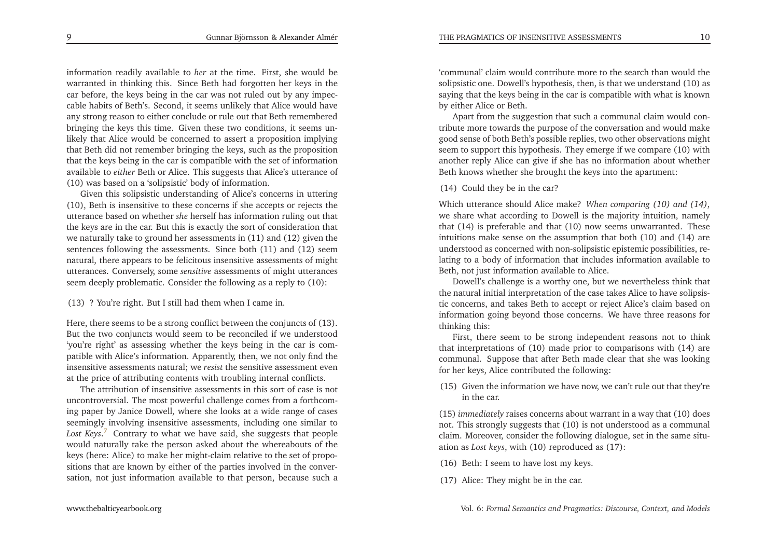THE PRAGMATICS OF INSENSITIVE ASSESSMENTS

<span id="page-5-0"></span>information readily available to *her* at the time. First, she would be warranted in thinking this. Since Beth had forgotten her keys in the car before, the keys being in the car was not ruled out by any impeccable habits of Beth's. Second, it seems unlikely that Alice would have any strong reason to either conclude or rule out that Beth remembered bringing the keys this time. Given these two conditions, it seems unlikely that Alice would be concerned to assert <sup>a</sup> proposition implying that Beth did not remember bringing the keys, such as the proposition that the keys being in the car is compatible with the set of information available to *either* Beth or Alice. This suggests that Alice's utterance of (10) was based on <sup>a</sup> 'solipsistic' body of information.

Given this solipsistic understanding of Alice's concerns in uttering (10), Beth is insensitive to these concerns if she accepts or rejects the utterance based on whether *she* herself has information ruling out that the keys are in the car. But this is exactly the sort of consideration that we naturally take to ground her assessments in (11) and (12) <sup>g</sup>iven the sentences following the assessments. Since both (11) and (12) seem natural, there appears to be felicitous insensitive assessments of might utterances. Conversely, some *sensitive* assessments of might utterances seem deeply problematic. Consider the following as <sup>a</sup> reply to (10):

(13) ? You're right. But <sup>I</sup> still had them when <sup>I</sup> came in.

Here, there seems to be <sup>a</sup> strong conflict between the conjuncts of (13). But the two conjuncts would seem to be reconciled if we understood 'you're right' as assessing whether the keys being in the car is compatible with Alice's information. Apparently, then, we not only find the insensitive assessments natural; we *resist* the sensitive assessment evenat the price of attributing contents with troubling internal conflicts.

The attribution of insensitive assessments in this sort of case is not uncontroversial. The most powerful challenge comes from <sup>a</sup> forthcoming paper by Janice Dowell, where she looks at <sup>a</sup> wide range of cases seemingly involving insensitive assessments, including one similar to *Lost Keys*.[7](#page-21-5) Contrary to what we have said, she suggests that people would naturally take the person asked about the whereabouts of the keys (here: Alice) to make her might-claim relative to the set of propositions that are known by either of the parties involved in the conversation, not just information available to that person, because such <sup>a</sup> 'communal' claim would contribute more to the search than would the solipsistic one. Dowell's hypothesis, then, is that we understand (10) as saying that the keys being in the car is compatible with what is knownby either Alice or Beth.

Apart from the suggestion that such <sup>a</sup> communal claim would contribute more towards the purpose of the conversation and would make good sense of both Beth's possible replies, two other observations might seem to suppor<sup>t</sup> this hypothesis. They emerge if we compare (10) with another reply Alice can <sup>g</sup>ive if she has no information about whetherBeth knows whether she brought the keys into the apartment:

(14) Could they be in the car?

Which utterance should Alice make? *When comparing (10) and (14)*, we share what according to Dowell is the majority intuition, namely that (14) is preferable and that (10) now seems unwarranted. These intuitions make sense on the assumption that both (10) and (14) are understood as concerned with non-solipsistic epistemic possibilities, relating to <sup>a</sup> body of information that includes information available toBeth, not just information available to Alice.

Dowell's challenge is <sup>a</sup> worthy one, but we nevertheless think that the natural initial interpretation of the case takes Alice to have solipsistic concerns, and takes Beth to accep<sup>t</sup> or reject Alice's claim based on information going beyond those concerns. We have three reasons forthinking this:

 First, there seem to be strong independent reasons not to think that interpretations of (10) made prior to comparisons with (14) are communal. Suppose that after Beth made clear that she was lookingfor her keys, Alice contributed the following:

(15) Given the information we have now, we can't rule out that they'rein the car.

(15) *immediately* raises concerns about warrant in <sup>a</sup> way that (10) does not. This strongly suggests that (10) is not understood as <sup>a</sup> communal claim. Moreover, consider the following dialogue, set in the same situation as *Lost keys*, with (10) reproduced as (17):

(16) Beth: <sup>I</sup> seem to have lost my keys.

(17) Alice: They might be in the car.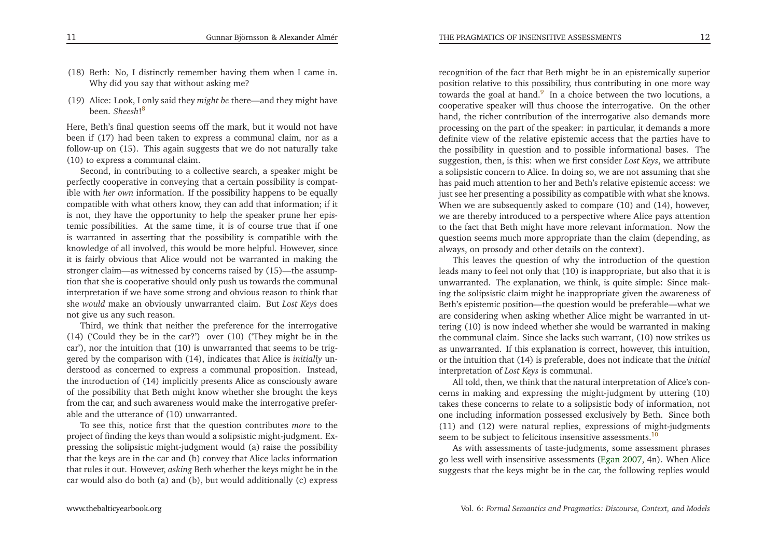- (18) Beth: No, <sup>I</sup> distinctly remember having them when <sup>I</sup> came in. Why did you say that without asking me?
- (19) Alice: Look, <sup>I</sup> only said they *might be* there—and they might have been. *Sheesh*![8](#page-21-6)

Here, Beth's final question seems off the mark, but it would not have been if (17) had been taken to express <sup>a</sup> communal claim, nor as <sup>a</sup> follow-up on (15). This again suggests that we do not naturally take(10) to express <sup>a</sup> communal claim.

Second, in contributing to <sup>a</sup> collective search, <sup>a</sup> speaker might be perfectly cooperative in conveying that <sup>a</sup> certain possibility is compatible with *her own* information. If the possibility happens to be equally compatible with what others know, they can add that information; if it is not, they have the opportunity to help the speaker prune her epistemic possibilities. At the same time, it is of course true that if one is warranted in asserting that the possibility is compatible with the knowledge of all involved, this would be more helpful. However, since it is fairly obvious that Alice would not be warranted in making the stronger claim—as witnessed by concerns raised by (15)—the assumption that she is cooperative should only push us towards the communal interpretation if we have some strong and obvious reason to think that she *would* make an obviously unwarranted claim. But *Lost Keys* does not <sup>g</sup>ive us any such reason.

<span id="page-6-2"></span>Third, we think that neither the preference for the interrogative (14) ('Could they be in the car?') over (10) ('They might be in the car'), nor the intuition that (10) is unwarranted that seems to be triggered by the comparison with (14), indicates that Alice is *initially* understood as concerned to express <sup>a</sup> communal proposition. Instead, the introduction of (14) implicitly presents Alice as consciously aware of the possibility that Beth might know whether she brought the keys from the car, and such awareness would make the interrogative preferable and the utterance of (10) unwarranted.

To see this, notice first that the question contributes *more* to the project of finding the keys than would <sup>a</sup> solipsistic might-judgment. Expressing the solipsistic might-judgment would (a) raise the possibility that the keys are in the car and (b) convey that Alice lacks information that rules it out. However, *asking* Beth whether the keys might be in thecar would also do both (a) and (b), but would additionally (c) express

<span id="page-6-1"></span><span id="page-6-0"></span>recognition of the fact that Beth might be in an epistemically superior position relative to this possibility, thus contributing in one more waytowards the goal at hand.<sup>[9](#page-21-7)</sup> In a choice between the two locutions, a cooperative speaker will thus choose the interrogative. On the other hand, the richer contribution of the interrogative also demands more processing on the par<sup>t</sup> of the speaker: in particular, it demands <sup>a</sup> more definite view of the relative epistemic access that the parties have to the possibility in question and to possible informational bases. The suggestion, then, is this: when we first consider *Lost Keys*, we attribute <sup>a</sup> solipsistic concern to Alice. In doing so, we are not assuming that she has paid much attention to her and Beth's relative epistemic access: we just see her presenting <sup>a</sup> possibility as compatible with what she knows. When we are subsequently asked to compare (10) and (14), however, we are thereby introduced to <sup>a</sup> perspective where Alice pays attention to the fact that Beth might have more relevant information. Now the question seems much more appropriate than the claim (depending, asalways, on prosody and other details on the context).

This leaves the question of why the introduction of the question leads many to feel not only that (10) is inappropriate, but also that it is unwarranted. The explanation, we think, is quite simple: Since making the solipsistic claim might be inappropriate <sup>g</sup>iven the awareness of Beth's epistemic position—the question would be preferable—what we are considering when asking whether Alice might be warranted in uttering (10) is now indeed whether she would be warranted in making the communal claim. Since she lacks such warrant, (10) now strikes us as unwarranted. If this explanation is correct, however, this intuition, or the intuition that (14) is preferable, does not indicate that the *initial* interpretation of *Lost Keys* is communal.

All told, then, we think that the natural interpretation of Alice's concerns in making and expressing the might-judgment by uttering (10) takes these concerns to relate to <sup>a</sup> solipsistic body of information, not one including information possessed exclusively by Beth. Since both (11) and (12) were natural replies, expressions of might-judgmentsseem to be subject to felicitous insensitive assessments.<sup>[10](#page-21-8)</sup>

As with assessments of taste-judgments, some assessment <sup>p</sup>hrases go less well with insensitive assessments [\(Egan](#page-22-5) [2007](#page-22-5), 4n). When Alicesuggests that the keys might be in the car, the following replies would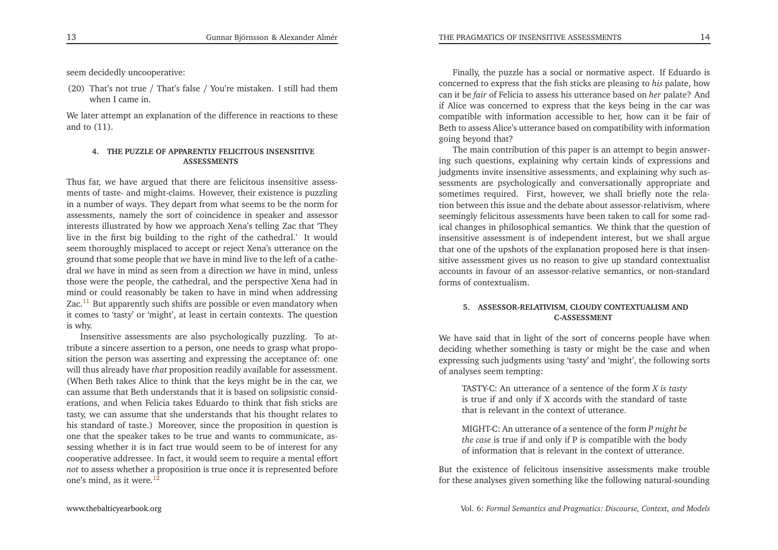seem decidedly uncooperative:

(20) That's not true / That's false / You're mistaken. <sup>I</sup> still had themwhen <sup>I</sup> came in.

We later attempt an explanation of the difference in reactions to theseand to (11).

## <span id="page-7-1"></span><span id="page-7-0"></span>**4. THE PUZZLE OF APPARENTLY FELICITOUS INSENSITIVEASSESSMENTS**

Thus far, we have argued that there are felicitous insensitive assessments of taste- and might-claims. However, their existence is puzzling in <sup>a</sup> number of ways. They depart from what seems to be the norm for assessments, namely the sort of coincidence in speaker and assessor interests illustrated by how we approach Xena's telling Zac that 'They live in the first big building to the right of the cathedral.' It would seem thoroughly misplaced to accep<sup>t</sup> or reject Xena's utterance on the ground that some people that *we* have in mind live to the left of <sup>a</sup> cathedral *we* have in mind as seen from <sup>a</sup> direction *we* have in mind, unless those were the people, the cathedral, and the perspective Xena had in mind or could reasonably be taken to have in mind when addressingZac.<sup>[11](#page-21-9)</sup> But apparently such shifts are possible or even mandatory when it comes to 'tasty' or 'might', at least in certain contexts. The questionis why.

Insensitive assessments are also psychologically puzzling. To attribute <sup>a</sup> sincere assertion to <sup>a</sup> person, one needs to grasp what proposition the person was asserting and expressing the acceptance of: one will thus already have *that* proposition readily available for assessment. (When Beth takes Alice to think that the keys might be in the car, we can assume that Beth understands that it is based on solipsistic considerations, and when Felicia takes Eduardo to think that fish sticks are tasty, we can assume that she understands that his thought relates to his standard of taste.) Moreover, since the proposition in question is one that the speaker takes to be true and wants to communicate, assessing whether it is in fact true would seem to be of interest for any cooperative addressee. In fact, it would seem to require <sup>a</sup> mental effort *not* to assess whether <sup>a</sup> proposition is true once it is represented beforeone's mind, as it were. $12$ 

Finally, the puzzle has <sup>a</sup> social or normative aspect. If Eduardo is concerned to express that the fish sticks are <sup>p</sup>leasing to *his* palate, how can it be *fair* of Felicia to assess his utterance based on *her* palate? And if Alice was concerned to express that the keys being in the car was compatible with information accessible to her, how can it be fair of Beth to assess Alice's utterance based on compatibility with informationgoing beyond that?

 The main contribution of this paper is an attempt to begin answering such questions, explaining why certain kinds of expressions and judgments invite insensitive assessments, and explaining why such assessments are psychologically and conversationally appropriate and sometimes required. First, however, we shall briefly note the relation between this issue and the debate about assessor-relativism, where seemingly felicitous assessments have been taken to call for some radical changes in <sup>p</sup>hilosophical semantics. We think that the question of insensitive assessment is of independent interest, but we shall argue that one of the upshots of the explanation proposed here is that insensitive assessment <sup>g</sup>ives us no reason to <sup>g</sup>ive up standard contextualist accounts in favour of an assessor-relative semantics, or non-standardforms of contextualism.

#### **5. ASSESSOR-RELATIVISM, CLOUDY CONTEXTUALISM ANDC-ASSESSMENT**

We have said that in light of the sort of concerns people have when deciding whether something is tasty or might be the case and when expressing such judgments using 'tasty' and 'might', the following sortsof analyses seem tempting:

TASTY-C: An utterance of <sup>a</sup> sentence of the form *<sup>X</sup> is tasty* is true if and only if <sup>X</sup> accords with the standard of tastethat is relevant in the context of utterance.

MIGHT-C: An utterance of <sup>a</sup> sentence of the form *<sup>P</sup> might be the case* is true if and only if <sup>P</sup> is compatible with the bodyof information that is relevant in the context of utterance.

But the existence of felicitous insensitive assessments make troublefor these analyses <sup>g</sup>iven something like the following natural-sounding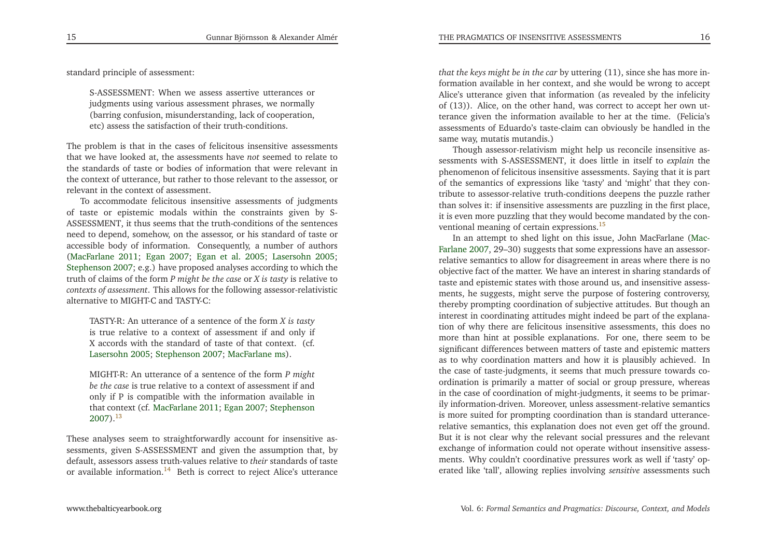standard principle of assessment:

<span id="page-8-0"></span>S-ASSESSMENT: When we assess assertive utterances or judgments using various assessment <sup>p</sup>hrases, we normally (barring confusion, misunderstanding, lack of cooperation, etc) assess the satisfaction of their truth-conditions.

<span id="page-8-1"></span>The problem is that in the cases of felicitous insensitive assessments that we have looked at, the assessments have *not* seemed to relate to the standards of taste or bodies of information that were relevant in the context of utterance, but rather to those relevant to the assessor, or relevant in the context of assessment.

To accommodate felicitous insensitive assessments of judgments of taste or epistemic modals within the constraints <sup>g</sup>iven by S-ASSESSMENT, it thus seems that the truth-conditions of the sentences need to depend, somehow, on the assessor, or his standard of taste or accessible body of information. Consequently, <sup>a</sup> number of authors [\(MacFarlane](#page-23-4) [2011](#page-23-4); [Egan](#page-22-5) [2007](#page-22-5); [Egan](#page-23-5) et al. [2005](#page-23-5); [Lasersohn](#page-23-6) [2005](#page-23-6); [Stephenson](#page-23-7) [2007](#page-23-7); e.g.) have proposed analyses according to which the truth of claims of the form *<sup>P</sup> might be the case* or *<sup>X</sup> is tasty* is relative to *contexts of assessment*. This allows for the following assessor-relativisticalternative to MIGHT-C and TASTY-C:

TASTY-R: An utterance of <sup>a</sup> sentence of the form *<sup>X</sup> is tasty* is true relative to <sup>a</sup> context of assessment if and only if <sup>X</sup> accords with the standard of taste of that context. (cf. [Lasersohn](#page-23-6) [2005](#page-23-6); [Stephenson](#page-23-7) [2007](#page-23-7); [MacFarlane](#page-23-8) [ms](#page-23-8)).

MIGHT-R: An utterance of <sup>a</sup> sentence of the form *<sup>P</sup> might be the case* is true relative to <sup>a</sup> context of assessment if and only if <sup>P</sup> is compatible with the information available in that context (cf. [MacFarlane](#page-23-4) [2011](#page-23-4); [Egan](#page-22-5) [2007](#page-22-5); [Stephenson](#page-23-7) $2007$ <sup>[13](#page-21-11)</sup>

These analyses seem to straightforwardly account for insensitive assessments, <sup>g</sup>iven S-ASSESSMENT and <sup>g</sup>iven the assumption that, by default, assessors assess truth-values relative to *their* standards of taste or available information.<sup>[14](#page-21-12)</sup> Beth is correct to reject Alice's utterance

*that the keys might be in the car* by uttering (11), since she has more information available in her context, and she would be wrong to accep<sup>t</sup> Alice's utterance <sup>g</sup>iven that information (as revealed by the infelicity of (13)). Alice, on the other hand, was correct to accep<sup>t</sup> her own utterance <sup>g</sup>iven the information available to her at the time. (Felicia's assessments of Eduardo's taste-claim can obviously be handled in thesame way, mutatis mutandis.)

 Though assessor-relativism might help us reconcile insensitive assessments with S-ASSESSMENT, it does little in itself to *explain* the <sup>p</sup>henomenon of felicitous insensitive assessments. Saying that it is par<sup>t</sup> of the semantics of expressions like 'tasty' and 'might' that they contribute to assessor-relative truth-conditions deepens the puzzle rather than solves it: if insensitive assessments are puzzling in the first <sup>p</sup>lace, it is even more puzzling that they would become mandated by the conventional meaning of certain expressions.[15](#page-21-13)

<span id="page-8-2"></span>In an attem[p](#page-23-9)t to shed light on this issue, John MacFarlane (Mac-Farlane [2007](#page-23-9), 29–30) suggests that some expressions have an assessorrelative semantics to allow for disagreement in areas where there is no objective fact of the matter. We have an interest in sharing standards of taste and epistemic states with those around us, and insensitive assessments, he suggests, might serve the purpose of fostering controversy, thereby prompting coordination of subjective attitudes. But though an interest in coordinating attitudes might indeed be par<sup>t</sup> of the explanation of why there are felicitous insensitive assessments, this does nomore than hint at possible explanations. For one, there seem to be<br>significant differences haturen matters of tests and enistensis matters significant differences between matters of taste and epistemic matters as to why coordination matters and how it is <sup>p</sup>lausibly achieved. In the case of taste-judgments, it seems that much pressure towards coordination is primarily <sup>a</sup> matter of social or group pressure, whereas in the case of coordination of might-judgments, it seems to be primarily information-driven. Moreover, unless assessment-relative semantics is more suited for prompting coordination than is standard utterancerelative semantics, this explanation does not even ge<sup>t</sup> off the ground. But it is not clear why the relevant social pressures and the relevant exchange of information could not operate without insensitive assessments. Why couldn't coordinative pressures work as well if 'tasty' operated like 'tall', allowing replies involving *sensitive* assessments such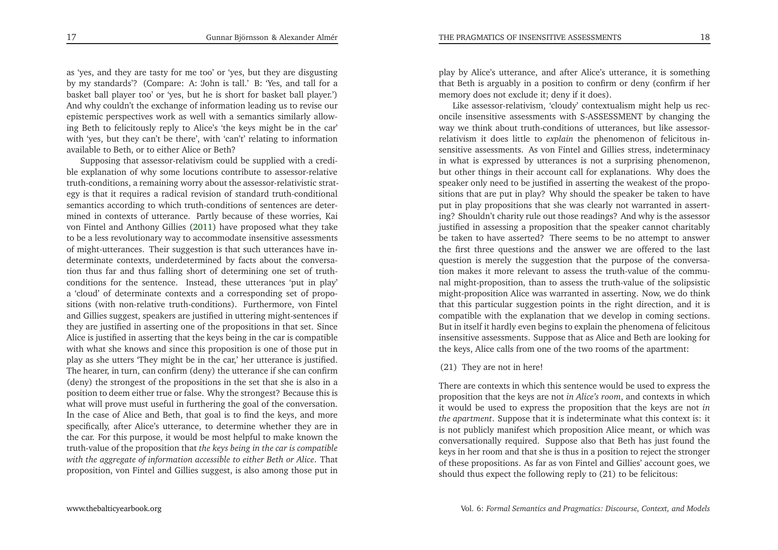as 'yes, and they are tasty for me too' or 'yes, but they are disgusting by my standards'? (Compare: A: 'John is tall.' B: 'Yes, and tall for <sup>a</sup> basket ball <sup>p</sup>layer too' or 'yes, but he is short for basket ball <sup>p</sup>layer.') And why couldn't the exchange of information leading us to revise our epistemic perspectives work as well with <sup>a</sup> semantics similarly allowing Beth to felicitously reply to Alice's 'the keys might be in the car' with 'yes, but they can't be there', with 'can't' relating to informationavailable to Beth, or to either Alice or Beth?

 Supposing that assessor-relativism could be supplied with <sup>a</sup> credible explanation of why some locutions contribute to assessor-relative truth-conditions, <sup>a</sup> remaining worry about the assessor-relativistic strategy is that it requires <sup>a</sup> radical revision of standard truth-conditional semantics according to which truth-conditions of sentences are determined in contexts of utterance. Partly because of these worries, Kai von Fintel and Anthony Gillies [\(2011](#page-23-10)) have proposed what they take to be <sup>a</sup> less revolutionary way to accommodate insensitive assessments of might-utterances. Their suggestion is that such utterances have indeterminate contexts, underdetermined by facts about the conversation thus far and thus falling short of determining one set of truthconditions for the sentence. Instead, these utterances 'put in <sup>p</sup>lay' <sup>a</sup> 'cloud' of determinate contexts and <sup>a</sup> corresponding set of propositions (with non-relative truth-conditions). Furthermore, von Fintel and Gillies suggest, speakers are justified in uttering might-sentences if they are justified in asserting one of the propositions in that set. Since Alice is justified in asserting that the keys being in the car is compatible with what she knows and since this proposition is one of those pu<sup>t</sup> in <sup>p</sup>lay as she utters 'They might be in the car,' her utterance is justified. The hearer, in turn, can confirm (deny) the utterance if she can confirm (deny) the strongest of the propositions in the set that she is also in <sup>a</sup> position to deem either true or false. Why the strongest? Because this is what will prove must useful in furthering the goal of the conversation. In the case of Alice and Beth, that goal is to find the keys, and more specifically, after Alice's utterance, to determine whether they are in the car. For this purpose, it would be most helpful to make known the truth-value of the proposition that *the keys being in the car is compatible with the aggregate of information accessible to either Beth or Alice*. That proposition, von Fintel and Gillies suggest, is also among those pu<sup>t</sup> in

<sup>p</sup>lay by Alice's utterance, and after Alice's utterance, it is something that Beth is arguably in <sup>a</sup> position to confirm or deny (confirm if hermemory does not exclude it; deny if it does).

Like assessor-relativism, 'cloudy' contextualism might help us reconcile insensitive assessments with S-ASSESSMENT by changing the way we think about truth-conditions of utterances, but like assessorrelativism it does little to *explain* the <sup>p</sup>henomenon of felicitous insensitive assessments. As von Fintel and Gillies stress, indeterminacy in what is expressed by utterances is not <sup>a</sup> surprising <sup>p</sup>henomenon, but other things in their account call for explanations. Why does the speaker only need to be justified in asserting the weakest of the propositions that are pu<sup>t</sup> in <sup>p</sup>lay? Why should the speaker be taken to have pu<sup>t</sup> in <sup>p</sup>lay propositions that she was clearly not warranted in asserting? Shouldn't charity rule out those readings? And why is the assessor justified in assessing <sup>a</sup> proposition that the speaker cannot charitably be taken to have asserted? There seems to be no attempt to answer the first three questions and the answer we are offered to the last question is merely the suggestion that the purpose of the conversation makes it more relevant to assess the truth-value of the communal might-proposition, than to assess the truth-value of the solipsistic might-proposition Alice was warranted in asserting. Now, we do think that this particular suggestion points in the right direction, and it is compatible with the explanation that we develop in coming sections. But in itself it hardly even begins to explain the <sup>p</sup>henomena of felicitous insensitive assessments. Suppose that as Alice and Beth are looking for the keys, Alice calls from one of the two rooms of the apartment:

#### (21) They are not in here!

There are contexts in which this sentence would be used to express the proposition that the keys are not *in Alice's room*, and contexts in which it would be used to express the proposition that the keys are not *in the apartment*. Suppose that it is indeterminate what this context is: it is not publicly manifest which proposition Alice meant, or which was conversationally required. Suppose also that Beth has just found the keys in her room and that she is thus in <sup>a</sup> position to reject the stronger of these propositions. As far as von Fintel and Gillies' account goes, weshould thus expec<sup>t</sup> the following reply to (21) to be felicitous: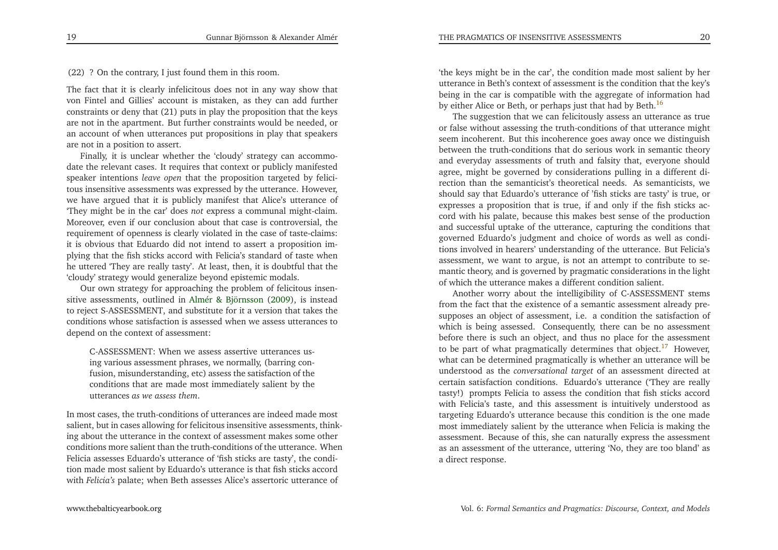(22) ? On the contrary, <sup>I</sup> just found them in this room.

The fact that it is clearly infelicitous does not in any way show that von Fintel and Gillies' account is mistaken, as they can add further constraints or deny that (21) puts in <sup>p</sup>lay the proposition that the keys are not in the apartment. But further constraints would be needed, or an account of when utterances pu<sup>t</sup> propositions in <sup>p</sup>lay that speakersare not in <sup>a</sup> position to assert.

Finally, it is unclear whether the 'cloudy' strategy can accommodate the relevant cases. It requires that context or publicly manifested speaker intentions *leave open* that the proposition targeted by felicitous insensitive assessments was expressed by the utterance. However, we have argued that it is publicly manifest that Alice's utterance of 'They might be in the car' does *not* express <sup>a</sup> communal might-claim. Moreover, even if our conclusion about that case is controversial, the requirement of openness is clearly violated in the case of taste-claims: it is obvious that Eduardo did not intend to assert <sup>a</sup> proposition im<sup>p</sup>lying that the fish sticks accord with Felicia's standard of taste when he uttered 'They are really tasty'. At least, then, it is doubtful that the'cloudy' strategy would generalize beyond epistemic modals.

Our own strategy for approaching the problem of felicitous insensitive assessments, outlined in Almér & [Björnsson](#page-22-6) [\(2009](#page-22-6)), is instead to reject S-ASSESSMENT, and substitute for it <sup>a</sup> version that takes the conditions whose satisfaction is assessed when we assess utterances todepend on the context of assessment:

<span id="page-10-1"></span>C-ASSESSMENT: When we assess assertive utterances using various assessment <sup>p</sup>hrases, we normally, (barring confusion, misunderstanding, etc) assess the satisfaction of the conditions that are made most immediately salient by theutterances *as we assess them*.

In most cases, the truth-conditions of utterances are indeed made most salient, but in cases allowing for felicitous insensitive assessments, thinking about the utterance in the context of assessment makes some other conditions more salient than the truth-conditions of the utterance. When Felicia assesses Eduardo's utterance of 'fish sticks are tasty', the condition made most salient by Eduardo's utterance is that fish sticks accordwith *Felicia's* palate; when Beth assesses Alice's assertoric utterance of

'the keys might be in the car', the condition made most salient by her utterance in Beth's context of assessment is the condition that the key's being in the car is compatible with the aggregate of information hadby either Alice or Beth, or perhaps just that had by Beth.<sup>[16](#page-21-14)</sup>

The suggestion that we can felicitously assess an utterance as true or false without assessing the truth-conditions of that utterance might seem incoherent. But this incoherence goes away once we distinguish between the truth-conditions that do serious work in semantic theory and everyday assessments of truth and falsity that, everyone should agree, might be governed by considerations pulling in <sup>a</sup> different direction than the semanticist's theoretical needs. As semanticists, we should say that Eduardo's utterance of 'fish sticks are tasty' is true, or expresses <sup>a</sup> proposition that is true, if and only if the fish sticks accord with his palate, because this makes best sense of the production and successful uptake of the utterance, capturing the conditions that governed Eduardo's judgment and choice of words as well as conditions involved in hearers' understanding of the utterance. But Felicia's assessment, we want to argue, is not an attempt to contribute to semantic theory, and is governed by pragmatic considerations in the light of which the utterance makes <sup>a</sup> different condition salient.

<span id="page-10-0"></span>Another worry about the intelligibility of C-ASSESSMENT stems from the fact that the existence of <sup>a</sup> semantic assessment already presupposes an object of assessment, i.e. <sup>a</sup> condition the satisfaction of which is being assessed. Consequently, there can be no assessment before there is such an object, and thus no <sup>p</sup>lace for the assessmentto be part of what pragmatically determines that object.<sup>[17](#page-21-15)</sup> However, what can be determined pragmatically is whether an utterance will be understood as the *conversational target* of an assessment directed at certain satisfaction conditions. Eduardo's utterance ('They are really tasty!) prompts Felicia to assess the condition that fish sticks accord with Felicia's taste, and this assessment is intuitively understood as targeting Eduardo's utterance because this condition is the one made most immediately salient by the utterance when Felicia is making the assessment. Because of this, she can naturally express the assessment as an assessment of the utterance, uttering 'No, they are too bland' as <sup>a</sup> direct response.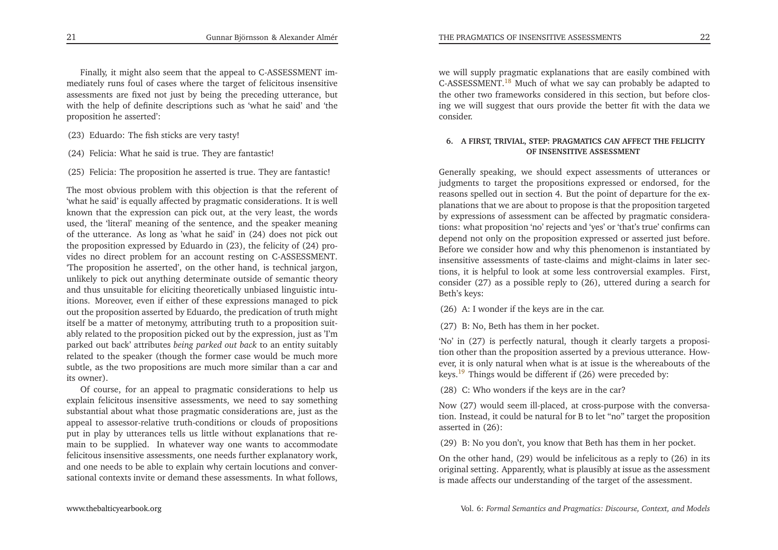<span id="page-11-1"></span>Finally, it might also seem that the appeal to C-ASSESSMENT immediately runs foul of cases where the target of felicitous insensitive assessments are fixed not just by being the preceding utterance, but with the help of definite descriptions such as 'what he said' and 'theproposition he asserted':

- (23) Eduardo: The fish sticks are very tasty!
- (24) Felicia: What he said is true. They are fantastic!
- (25) Felicia: The proposition he asserted is true. They are fantastic!

The most obvious problem with this objection is that the referent of 'what he said' is equally affected by pragmatic considerations. It is well known that the expression can <sup>p</sup>ick out, at the very least, the words used, the 'literal' meaning of the sentence, and the speaker meaning of the utterance. As long as 'what he said' in (24) does not <sup>p</sup>ick out the proposition expressed by Eduardo in (23), the felicity of (24) provides no direct problem for an account resting on C-ASSESSMENT. 'The proposition he asserted', on the other hand, is technical jargon, unlikely to <sup>p</sup>ick out anything determinate outside of semantic theory and thus unsuitable for eliciting theoretically unbiased linguistic intuitions. Moreover, even if either of these expressions managed to <sup>p</sup>ick out the proposition asserted by Eduardo, the predication of truth might itself be <sup>a</sup> matter of metonymy, attributing truth to <sup>a</sup> proposition suitably related to the proposition <sup>p</sup>icked out by the expression, just as 'I'm parked out back' attributes *being parked out back* to an entity suitably related to the speaker (though the former case would be much more subtle, as the two propositions are much more similar than <sup>a</sup> car andits owner).

Of course, for an appeal to pragmatic considerations to help us explain felicitous insensitive assessments, we need to say something substantial about what those pragmatic considerations are, just as the appeal to assessor-relative truth-conditions or clouds of propositions pu<sup>t</sup> in <sup>p</sup>lay by utterances tells us little without explanations that remain to be supplied. In whatever way one wants to accommodate felicitous insensitive assessments, one needs further explanatory work, and one needs to be able to explain why certain locutions and conversational contexts invite or demand these assessments. In what follows,

we will supply pragmatic explanations that are easily combined withC-ASSESSMENT.<sup>[18](#page-21-16)</sup> Much of what we say can probably be adapted to the other two frameworks considered in this section, but before closing we will sugges<sup>t</sup> that ours provide the better fit with the data weconsider.

## <span id="page-11-0"></span>**6. <sup>A</sup> FIRST, TRIVIAL, STEP: PRAGMATICS** *CAN* **AFFECT THE FELICITY OF INSENSITIVE ASSESSMENT**

Generally speaking, we should expec<sup>t</sup> assessments of utterances or judgments to target the propositions expressed or endorsed, for the reasons spelled out in section 4. But the point of departure for the ex<sup>p</sup>lanations that we are about to propose is that the proposition targeted by expressions of assessment can be affected by pragmatic considerations: what proposition 'no' rejects and 'yes' or 'that's true' confirms can depend not only on the proposition expressed or asserted just before. Before we consider how and why this <sup>p</sup>henomenon is instantiated by insensitive assessments of taste-claims and might-claims in later sections, it is helpful to look at some less controversial examples. First, consider (27) as <sup>a</sup> possible reply to (26), uttered during <sup>a</sup> search forBeth's keys:

(26) A: <sup>I</sup> wonder if the keys are in the car.

(27) B: No, Beth has them in her pocket.

'No' in (27) is perfectly natural, though it clearly targets <sup>a</sup> proposition other than the proposition asserted by <sup>a</sup> previous utterance. However, it is only natural when what is at issue is the whereabouts of thekeys.<sup>[19](#page-21-17)</sup> Things would be different if  $(26)$  were preceded by:

(28) C: Who wonders if the keys are in the car?

Now (27) would seem ill-placed, at cross-purpose with the conversation. Instead, it could be natural for <sup>B</sup> to let "no" target the propositionasserted in (26):

(29) B: No you don't, you know that Beth has them in her pocket.

On the other hand, (29) would be infelicitous as <sup>a</sup> reply to (26) in its original setting. Apparently, what is <sup>p</sup>lausibly at issue as the assessment is made affects our understanding of the target of the assessment.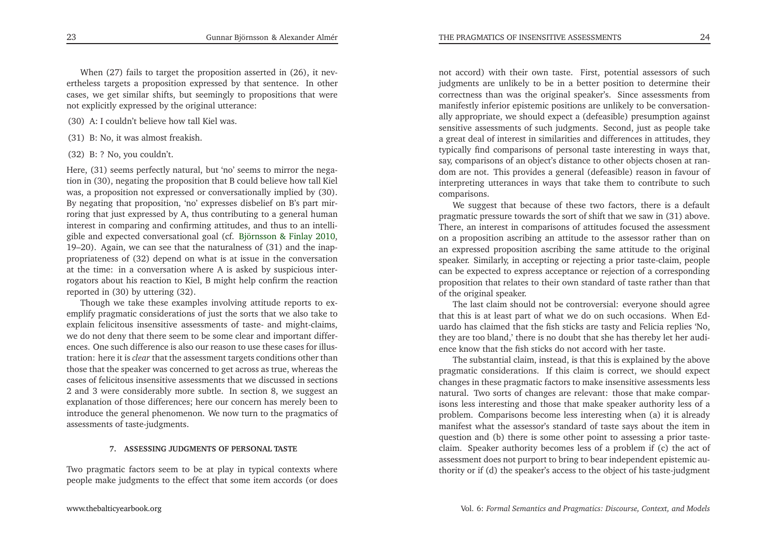When (27) fails to target the proposition asserted in (26), it nevertheless targets <sup>a</sup> proposition expressed by that sentence. In other cases, we ge<sup>t</sup> similar shifts, but seemingly to propositions that werenot explicitly expressed by the original utterance:

- (30) A: <sup>I</sup> couldn't believe how tall Kiel was.
- (31) B: No, it was almost freakish.
- (32) B: ? No, you couldn't.

Here, (31) seems perfectly natural, but 'no' seems to mirror the negation in (30), negating the proposition that <sup>B</sup> could believe how tall Kiel was, <sup>a</sup> proposition not expressed or conversationally implied by (30). By negating that proposition, 'no' expresses disbelief on B's par<sup>t</sup> mirroring that just expressed by A, thus contributing to <sup>a</sup> general human interest in comparing and confirming attitudes, and thus to an intelli<sup>g</sup>ible and expected conversational goal (cf. [Björnsson](#page-22-7) & Finlay [2010](#page-22-7), 19–20). Again, we can see that the naturalness of (31) and the inappropriateness of (32) depend on what is at issue in the conversation at the time: in <sup>a</sup> conversation where <sup>A</sup> is asked by suspicious interrogators about his reaction to Kiel, <sup>B</sup> might help confirm the reactionreported in (30) by uttering (32).

Though we take these examples involving attitude reports to exemplify pragmatic considerations of just the sorts that we also take to explain felicitous insensitive assessments of taste- and might-claims, we do not deny that there seem to be some clear and important differences. One such difference is also our reason to use these cases for illustration: here it is *clear* that the assessment targets conditions other than those that the speaker was concerned to ge<sup>t</sup> across as true, whereas the cases of felicitous insensitive assessments that we discussed in sections <sup>2</sup> and <sup>3</sup> were considerably more subtle. In section 8, we sugges<sup>t</sup> an explanation of those differences; here our concern has merely been to introduce the general <sup>p</sup>henomenon. We now turn to the pragmatics ofassessments of taste-judgments.

#### **7. ASSESSING JUDGMENTS OF PERSONAL TASTE**

Two pragmatic factors seem to be at <sup>p</sup>lay in typical contexts wherepeople make judgments to the effect that some item accords (or does

not accord) with their own taste. First, potential assessors of such judgments are unlikely to be in <sup>a</sup> better position to determine their correctness than was the original speaker's. Since assessments from manifestly inferior epistemic positions are unlikely to be conversationally appropriate, we should expec<sup>t</sup> <sup>a</sup> (defeasible) presumption against sensitive assessments of such judgments. Second, just as people take <sup>a</sup> grea<sup>t</sup> deal of interest in similarities and differences in attitudes, they typically find comparisons of personal taste interesting in ways that, say, comparisons of an object's distance to other objects chosen at random are not. This provides <sup>a</sup> general (defeasible) reason in favour of interpreting utterances in ways that take them to contribute to suchcomparisons.

We sugges<sup>t</sup> that because of these two factors, there is <sup>a</sup> default pragmatic pressure towards the sort of shift that we saw in (31) above. There, an interest in comparisons of attitudes focused the assessment on <sup>a</sup> proposition ascribing an attitude to the assessor rather than on an expressed proposition ascribing the same attitude to the original speaker. Similarly, in accepting or rejecting <sup>a</sup> prior taste-claim, people can be expected to express acceptance or rejection of <sup>a</sup> corresponding proposition that relates to their own standard of taste rather than thatof the original speaker.

The last claim should not be controversial: everyone should agree that this is at least par<sup>t</sup> of what we do on such occasions. When Eduardo has claimed that the fish sticks are tasty and Felicia replies 'No, they are too bland,' there is no doubt that she has thereby let her audience know that the fish sticks do not accord with her taste.

The substantial claim, instead, is that this is explained by the above pragmatic considerations. If this claim is correct, we should expec<sup>t</sup> changes in these pragmatic factors to make insensitive assessments less natural. Two sorts of changes are relevant: those that make comparisons less interesting and those that make speaker authority less of <sup>a</sup> problem. Comparisons become less interesting when (a) it is already manifest what the assessor's standard of taste says about the item in question and (b) there is some other point to assessing <sup>a</sup> prior tasteclaim. Speaker authority becomes less of <sup>a</sup> problem if (c) the act of assessment does not purpor<sup>t</sup> to bring to bear independent epistemic authority or if (d) the speaker's access to the object of his taste-judgment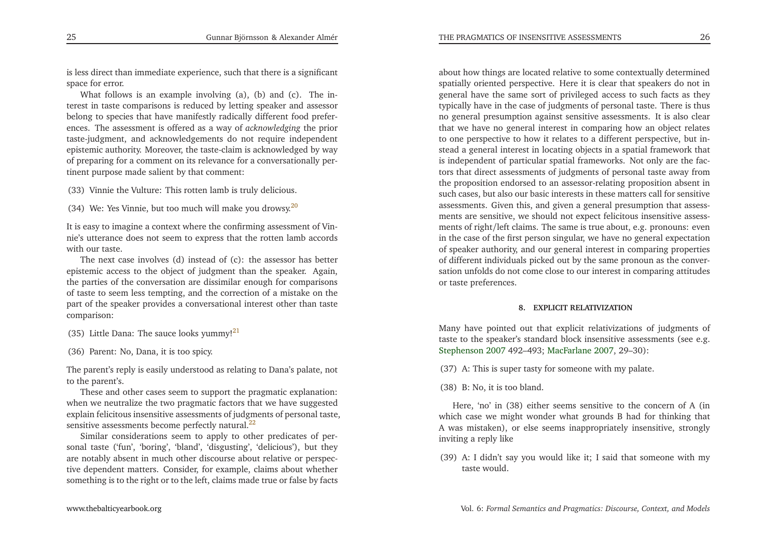is less direct than immediate experience, such that there is <sup>a</sup> significant space for error.

What follows is an example involving (a), (b) and (c). The interest in taste comparisons is reduced by letting speaker and assessor belong to species that have manifestly radically different food preferences. The assessment is offered as <sup>a</sup> way of *acknowledging* the prior taste-judgment, and acknowledgements do not require independent epistemic authority. Moreover, the taste-claim is acknowledged by way of preparing for <sup>a</sup> comment on its relevance for <sup>a</sup> conversationally pertinent purpose made salient by that comment:

(33) Vinnie the Vulture: This rotten lamb is truly delicious.

(34) We: Yes Vinnie, but too much will make you drowsy.<sup>[20](#page-21-18)</sup>

<span id="page-13-1"></span>It is easy to imagine <sup>a</sup> context where the confirming assessment of Vinnie's utterance does not seem to express that the rotten lamb accords with our taste.

<span id="page-13-2"></span>The next case involves (d) instead of (c): the assessor has better epistemic access to the object of judgment than the speaker. Again, the parties of the conversation are dissimilar enough for comparisons of taste to seem less tempting, and the correction of <sup>a</sup> mistake on the par<sup>t</sup> of the speaker provides <sup>a</sup> conversational interest other than tastecomparison:

- (35) Little Dana: The sauce looks yummy! $^{21}$  $^{21}$  $^{21}$
- (36) Parent: No, Dana, it is too spicy.

The parent's reply is easily understood as relating to Dana's palate, notto the parent's.

These and other cases seem to suppor<sup>t</sup> the pragmatic explanation: when we neutralize the two pragmatic factors that we have suggested explain felicitous insensitive assessments of judgments of personal taste, sensitive assessments become perfectly natural.<sup>[22](#page-22-8)</sup>

Similar considerations seem to apply to other predicates of personal taste ('fun', 'boring', 'bland', 'disgusting', 'delicious'), but they are notably absent in much other discourse about relative or perspective dependent matters. Consider, for example, claims about whethersomething is to the right or to the left, claims made true or false by facts

about how things are located relative to some contextually determined spatially oriented perspective. Here it is clear that speakers do not in general have the same sort of privileged access to such facts as they typically have in the case of judgments of personal taste. There is thus no general presumption against sensitive assessments. It is also clear that we have no general interest in comparing how an object relates to one perspective to how it relates to <sup>a</sup> different perspective, but instead <sup>a</sup> general interest in locating objects in <sup>a</sup> spatial framework that is independent of particular spatial frameworks. Not only are the factors that direct assessments of judgments of personal taste away from the proposition endorsed to an assessor-relating proposition absent in such cases, but also our basic interests in these matters call for sensitive assessments. Given this, and <sup>g</sup>iven <sup>a</sup> general presumption that assessments are sensitive, we should not expec<sup>t</sup> felicitous insensitive assessments of right/left claims. The same is true about, e.g. pronouns: even in the case of the first person singular, we have no general expectation of speaker authority, and our general interest in comparing properties of different individuals <sup>p</sup>icked out by the same pronoun as the conversation unfolds do not come close to our interest in comparing attitudes or taste preferences.

#### **8. EXPLICIT RELATIVIZATION**

<span id="page-13-0"></span>Many have pointed out that explicit relativizations of judgments of taste to the speaker's standard block insensitive assessments (see e.g. [Stephenson](#page-23-7) [2007](#page-23-7) 492–493; [MacFarlane](#page-23-9) [2007](#page-23-9), 29–30):

(37) A: This is super tasty for someone with my palate.

(38) B: No, it is too bland.

Here, 'no' in (38) either seems sensitive to the concern of <sup>A</sup> (in which case we might wonder what grounds <sup>B</sup> had for thinking that <sup>A</sup> was mistaken), or else seems inappropriately insensitive, stronglyinviting <sup>a</sup> reply like

(39) A: <sup>I</sup> didn't say you would like it; <sup>I</sup> said that someone with my taste would.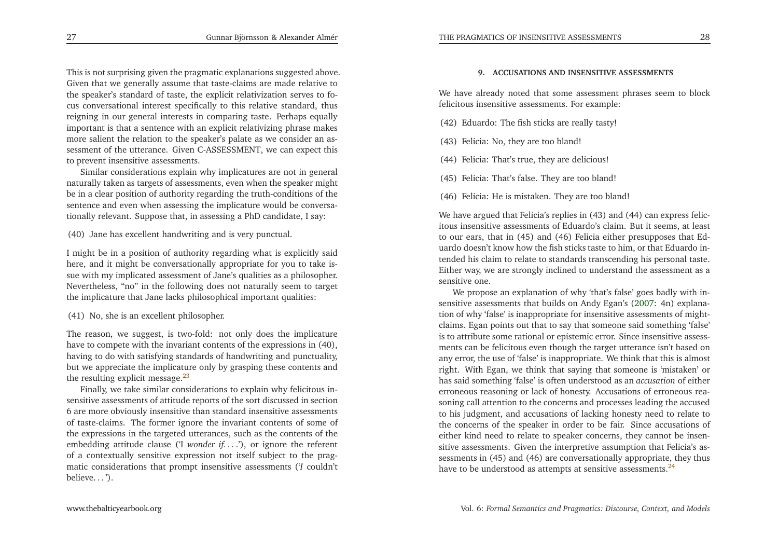This is not surprising <sup>g</sup>iven the pragmatic explanations suggested above. Given that we generally assume that taste-claims are made relative to the speaker's standard of taste, the explicit relativization serves to focus conversational interest specifically to this relative standard, thus reigning in our general interests in comparing taste. Perhaps equally important is that <sup>a</sup> sentence with an explicit relativizing <sup>p</sup>hrase makes more salient the relation to the speaker's palate as we consider an assessment of the utterance. Given C-ASSESSMENT, we can expec<sup>t</sup> thisto preven<sup>t</sup> insensitive assessments.

<span id="page-14-0"></span>Similar considerations explain why implicatures are not in genera<sup>l</sup> naturally taken as targets of assessments, even when the speaker might be in <sup>a</sup> clear position of authority regarding the truth-conditions of the sentence and even when assessing the implicature would be conversationally relevant. Suppose that, in assessing <sup>a</sup> PhD candidate, <sup>I</sup> say:

(40) Jane has excellent handwriting and is very punctual.

<sup>I</sup> might be in <sup>a</sup> position of authority regarding what is explicitly said here, and it might be conversationally appropriate for you to take issue with my implicated assessment of Jane's qualities as <sup>a</sup> <sup>p</sup>hilosopher. Nevertheless, "no" in the following does not naturally seem to target the implicature that Jane lacks <sup>p</sup>hilosophical important qualities:

<span id="page-14-1"></span>(41) No, she is an excellent <sup>p</sup>hilosopher.

The reason, we suggest, is two-fold: not only does the implicature have to compete with the invariant contents of the expressions in (40), having to do with satisfying standards of handwriting and punctuality, but we appreciate the implicature only by grasping these contents andthe resulting explicit message. $^{23}$  $^{23}$  $^{23}$ 

Finally, we take similar considerations to explain why felicitous insensitive assessments of attitude reports of the sort discussed in section 6 are more obviously insensitive than standard insensitive assessments of taste-claims. The former ignore the invariant contents of some of the expressions in the targeted utterances, such as the contents of the embedding attitude clause ('I *wonder if. . .* .'), or ignore the referent of <sup>a</sup> contextually sensitive expression not itself subject to the pragmatic considerations that promp<sup>t</sup> insensitive assessments ('*<sup>I</sup>* couldn't believe...').

#### **9. ACCUSATIONS AND INSENSITIVE ASSESSMENTS**

We have already noted that some assessment <sup>p</sup>hrases seem to blockfelicitous insensitive assessments. For example:

- (42) Eduardo: The fish sticks are really tasty!
- (43) Felicia: No, they are too bland!
- (44) Felicia: That's true, they are delicious!
- (45) Felicia: That's false. They are too bland!
- (46) Felicia: He is mistaken. They are too bland!

We have argued that Felicia's replies in (43) and (44) can express felicitous insensitive assessments of Eduardo's claim. But it seems, at least to our ears, that in (45) and (46) Felicia either presupposes that Eduardo doesn't know how the fish sticks taste to him, or that Eduardo intended his claim to relate to standards transcending his personal taste. Either way, we are strongly inclined to understand the assessment as <sup>a</sup>sensitive one.

We propose an explanation of why 'that's false' goes badly with insensitive assessments that builds on Andy Egan's [\(2007](#page-22-5): 4n) explanation of why 'false' is inappropriate for insensitive assessments of mightclaims. Egan points out that to say that someone said something 'false' is to attribute some rational or epistemic error. Since insensitive assessments can be felicitous even though the target utterance isn't based on any error, the use of 'false' is inappropriate. We think that this is almost right. With Egan, we think that saying that someone is 'mistaken' or has said something 'false' is often understood as an *accusation* of either erroneous reasoning or lack of honesty. Accusations of erroneous reasoning call attention to the concerns and processes leading the accused to his judgment, and accusations of lacking honesty need to relate to the concerns of the speaker in order to be fair. Since accusations of either kind need to relate to speaker concerns, they cannot be insensitive assessments. Given the interpretive assumption that Felicia's assessments in (45) and (46) are conversationally appropriate, they thushave to be understood as attempts at sensitive assessments.<sup>[24](#page-22-10)</sup>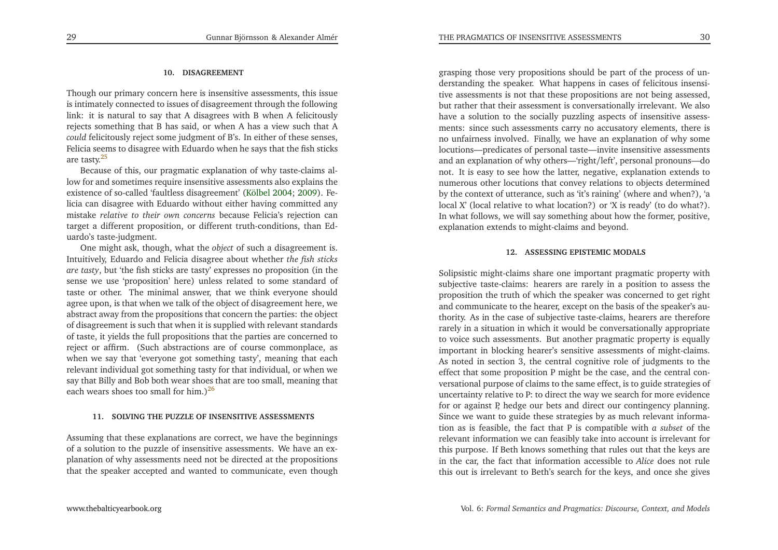#### **10. DISAGREEMENT**

Though our primary concern here is insensitive assessments, this issue is intimately connected to issues of disagreement through the following link: it is natural to say that <sup>A</sup> disagrees with <sup>B</sup> when <sup>A</sup> felicitously rejects something that <sup>B</sup> has said, or when <sup>A</sup> has <sup>a</sup> view such that <sup>A</sup> *could* felicitously reject some judgment of B's. In either of these senses, Felicia seems to disagree with Eduardo when he says that the fish sticksare tasty.[25](#page-22-11)

Because of this, our pragmatic explanation of why taste-claims allow for and sometimes require insensitive assessments also explains the existence of so-called 'faultless disagreement' [\(Kölbel](#page-23-11) [2004](#page-23-11); [2009](#page-23-12)). Felicia can disagree with Eduardo without either having committed any mistake *relative to their own concerns* because Felicia's rejection can target <sup>a</sup> different proposition, or different truth-conditions, than Eduardo's taste-judgment.

<span id="page-15-1"></span>One might ask, though, what the *object* of such <sup>a</sup> disagreement is. Intuitively, Eduardo and Felicia disagree about whether *the fish sticks are tasty*, but 'the fish sticks are tasty' expresses no proposition (in the sense we use 'proposition' here) unless related to some standard of taste or other. The minimal answer, that we think everyone should agree upon, is that when we talk of the object of disagreement here, we abstract away from the propositions that concern the parties: the object of disagreement is such that when it is supplied with relevant standards of taste, it <sup>y</sup>ields the full propositions that the parties are concerned to reject or affirm. (Such abstractions are of course commonplace, as when we say that 'everyone go<sup>t</sup> something tasty', meaning that each relevant individual go<sup>t</sup> something tasty for that individual, or when we say that Billy and Bob both wear shoes that are too small, meaning thateach wears shoes too small for him.) $^{26}$  $^{26}$  $^{26}$ 

#### **11. SOLVING THE PUZZLE OF INSENSITIVE ASSESSMENTS**

Assuming that these explanations are correct, we have the beginnings of <sup>a</sup> solution to the puzzle of insensitive assessments. We have an ex<sup>p</sup>lanation of why assessments need not be directed at the propositionsthat the speaker accepted and wanted to communicate, even though

<span id="page-15-0"></span>grasping those very propositions should be par<sup>t</sup> of the process of understanding the speaker. What happens in cases of felicitous insensitive assessments is not that these propositions are not being assessed, but rather that their assessment is conversationally irrelevant. We also have <sup>a</sup> solution to the socially puzzling aspects of insensitive assessments: since such assessments carry no accusatory elements, there is no unfairness involved. Finally, we have an explanation of why some locutions—predicates of personal taste—invite insensitive assessments and an explanation of why others—'right/left', personal pronouns—do not. It is easy to see how the latter, negative, explanation extends to numerous other locutions that convey relations to objects determined by the context of utterance, such as 'it's raining' (where and when?), 'a local X' (local relative to what location?) or 'X is ready' (to do what?). In what follows, we will say something about how the former, positive, explanation extends to might-claims and beyond.

### **12. ASSESSING EPISTEMIC MODALS**

Solipsistic might-claims share one important pragmatic property with subjective taste-claims: hearers are rarely in <sup>a</sup> position to assess the proposition the truth of which the speaker was concerned to ge<sup>t</sup> right and communicate to the hearer, excep<sup>t</sup> on the basis of the speaker's authority. As in the case of subjective taste-claims, hearers are therefore rarely in <sup>a</sup> situation in which it would be conversationally appropriate to voice such assessments. But another pragmatic property is equally important in blocking hearer's sensitive assessments of might-claims. As noted in section 3, the central cognitive role of judgments to the effect that some proposition <sup>P</sup> might be the case, and the central conversational purpose of claims to the same effect, is to guide strategies of uncertainty relative to P: to direct the way we search for more evidence for or against P, hedge our bets and direct our contingency <sup>p</sup>lanning. Since we want to guide these strategies by as much relevant information as is feasible, the fact that <sup>P</sup> is compatible with *<sup>a</sup> subset* of the relevant information we can feasibly take into account is irrelevant for this purpose. If Beth knows something that rules out that the keys are in the car, the fact that information accessible to *Alice* does not rule this out is irrelevant to Beth's search for the keys, and once she <sup>g</sup>ives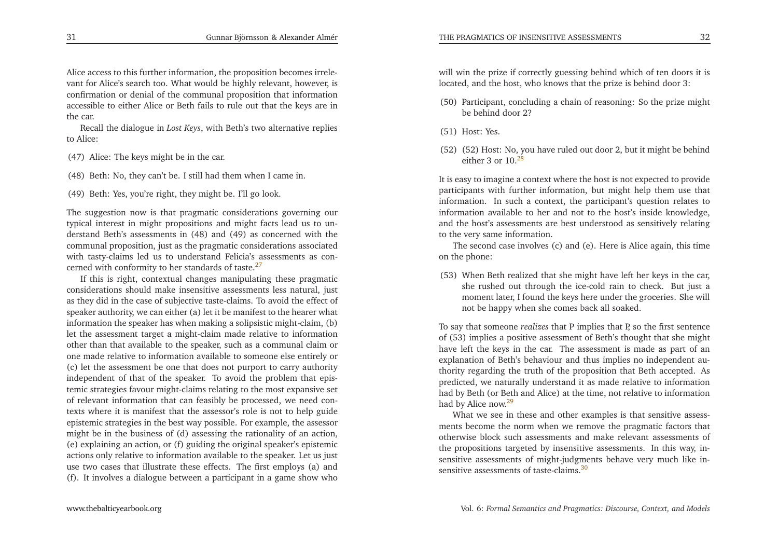Alice access to this further information, the proposition becomes irrelevant for Alice's search too. What would be highly relevant, however, is confirmation or denial of the communal proposition that information accessible to either Alice or Beth fails to rule out that the keys are inthe car.

<span id="page-16-2"></span>Recall the dialogue in *Lost Keys*, with Beth's two alternative replies to Alice:

(47) Alice: The keys might be in the car.

(48) Beth: No, they can't be. <sup>I</sup> still had them when <sup>I</sup> came in.

<span id="page-16-3"></span>(49) Beth: Yes, you're right, they might be. I'll go look.

The suggestion now is that pragmatic considerations governing our typical interest in might propositions and might facts lead us to understand Beth's assessments in (48) and (49) as concerned with the communal proposition, just as the pragmatic considerations associated with tasty-claims led us to understand Felicia's assessments as concerned with conformity to her standards of taste. $27$ 

If this is right, contextual changes manipulating these pragmatic considerations should make insensitive assessments less natural, just as they did in the case of subjective taste-claims. To avoid the effect of speaker authority, we can either (a) let it be manifest to the hearer what information the speaker has when making <sup>a</sup> solipsistic might-claim, (b) let the assessment target <sup>a</sup> might-claim made relative to information other than that available to the speaker, such as <sup>a</sup> communal claim or one made relative to information available to someone else entirely or (c) let the assessment be one that does not purpor<sup>t</sup> to carry authority independent of that of the speaker. To avoid the problem that epistemic strategies favour might-claims relating to the most expansive set of relevant information that can feasibly be processed, we need contexts where it is manifest that the assessor's role is not to help guide epistemic strategies in the best way possible. For example, the assessor might be in the business of (d) assessing the rationality of an action, (e) explaining an action, or (f) guiding the original speaker's epistemic actions only relative to information available to the speaker. Let us just use two cases that illustrate these effects. The first employs (a) and(f). It involves <sup>a</sup> dialogue between <sup>a</sup> participant in <sup>a</sup> game show who

will win the prize if correctly guessing behind which of ten doors it islocated, and the host, who knows that the prize is behind door 3:

- (50) Participant, concluding <sup>a</sup> chain of reasoning: So the prize mightbe behind door 2?
- <span id="page-16-1"></span>(51) Host: Yes.
- (52) (52) Host: No, you have ruled out door 2, but it might be behindeither  $3$  or  $10^{28}$  $10^{28}$  $10^{28}$

It is easy to imagine <sup>a</sup> context where the host is not expected to provideparticipants with further information, but might help them use that<br>information. In such a content, the neutrinously sucction uslates to information. In such <sup>a</sup> context, the participant's question relates to information available to her and not to the host's inside knowledge, and the host's assessments are best understood as sensitively relatingto the very same information.

<span id="page-16-0"></span>The second case involves (c) and (e). Here is Alice again, this timeon the <sup>p</sup>hone:

(53) When Beth realized that she might have left her keys in the car, she rushed out through the ice-cold rain to check. But just <sup>a</sup> moment later, <sup>I</sup> found the keys here under the groceries. She willnot be happy when she comes back all soaked.

To say that someone *realizes* that <sup>P</sup> implies that P, so the first sentence of (53) implies <sup>a</sup> positive assessment of Beth's thought that she might have left the keys in the car. The assessment is made as par<sup>t</sup> of an explanation of Beth's behaviour and thus implies no independent authority regarding the truth of the proposition that Beth accepted. As predicted, we naturally understand it as made relative to information had by Beth (or Beth and Alice) at the time, not relative to informationhad by Alice now.<sup>[29](#page-22-15)</sup>

What we see in these and other examples is that sensitive assessments become the norm when we remove the pragmatic factors that otherwise block such assessments and make relevant assessments of the propositions targeted by insensitive assessments. In this way, insensitive assessments of might-judgments behave very much like insensitive assessments of taste-claims  $30$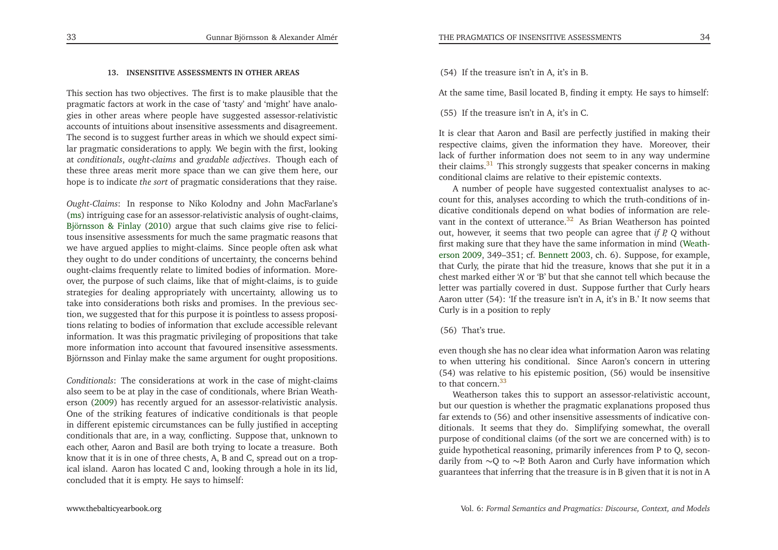### <span id="page-17-2"></span>**13. INSENSITIVE ASSESSMENTS IN OTHER AREAS**

This section has two objectives. The first is to make <sup>p</sup>lausible that the pragmatic factors at work in the case of 'tasty' and 'might' have analo<sup>g</sup>ies in other areas where people have suggested assessor-relativistic accounts of intuitions about insensitive assessments and disagreement. The second is to sugges<sup>t</sup> further areas in which we should expec<sup>t</sup> similar pragmatic considerations to apply. We begin with the first, looking at *conditionals*, *ought-claims* and *gradable adjectives*. Though each of these three areas merit more space than we can <sup>g</sup>ive them here, ourhope is to indicate *the sort* of pragmatic considerations that they raise.

*Ought-Claims*: In response to Niko Kolodny and John MacFarlane's [\(ms](#page-23-8)) intriguing case for an assessor-relativistic analysis of ought-claims, [Björnsson](#page-22-7) & Finlay [\(2010\)](#page-22-7) argue that such claims <sup>g</sup>ive rise to felicitous insensitive assessments for much the same pragmatic reasons that we have argued applies to might-claims. Since people often ask what they ought to do under conditions of uncertainty, the concerns behind ought-claims frequently relate to limited bodies of information. Moreover, the purpose of such claims, like that of might-claims, is to guide strategies for dealing appropriately with uncertainty, allowing us to take into considerations both risks and promises. In the previous section, we suggested that for this purpose it is pointless to assess propositions relating to bodies of information that exclude accessible relevant information. It was this pragmatic privileging of propositions that take more information into account that favoured insensitive assessments. Björnsson and Finlay make the same argumen<sup>t</sup> for ought propositions.

*Conditionals*: The considerations at work in the case of might-claims also seem to be at <sup>p</sup>lay in the case of conditionals, where Brian Weatherson [\(2009](#page-23-13)) has recently argued for an assessor-relativistic analysis. One of the striking features of indicative conditionals is that people in different epistemic circumstances can be fully justified in accepting conditionals that are, in <sup>a</sup> way, conflicting. Suppose that, unknown to each other, Aaron and Basil are both trying to locate <sup>a</sup> treasure. Both know that it is in one of three chests, A, <sup>B</sup> and C, spread out on <sup>a</sup> tropical island. Aaron has located <sup>C</sup> and, looking through <sup>a</sup> hole in its lid, concluded that it is empty. He says to himself:

(54) If the treasure isn't in A, it's in B.

<span id="page-17-0"></span>At the same time, Basil located B, finding it empty. He says to himself:

(55) If the treasure isn't in A, it's in C.

It is clear that Aaron and Basil are perfectly justified in making their respective claims, <sup>g</sup>iven the information they have. Moreover, their lack of further information does not seem to in any way underminetheir claims.<sup>[31](#page-22-17)</sup> This strongly suggests that speaker concerns in making conditional claims are relative to their epistemic contexts.

<span id="page-17-1"></span><sup>A</sup> number of people have suggested contextualist analyses to account for this, analyses according to which the truth-conditions of indicative conditionals depend on what bodies of information are rele-vant in the context of utterance.<sup>[32](#page-22-18)</sup> As Brian Weatherson has pointed out, however, it seems that two people can agree that *if P, Q* without first makin[g](#page-23-13) sure that they have the same information in mind (Weatherson [2009,](#page-23-13) 349–351; cf. [Bennett](#page-22-19) [2003](#page-22-19), ch. 6). Suppose, for example, that Curly, the <sup>p</sup>irate that hid the treasure, knows that she pu<sup>t</sup> it in <sup>a</sup> chest marked either 'A' or 'B' but that she cannot tell which because the letter was partially covered in dust. Suppose further that Curly hears Aaron utter (54): 'If the treasure isn't in A, it's in B.' It now seems thatCurly is in <sup>a</sup> position to reply

#### (56) That's true.

even though she has no clear idea what information Aaron was relating to when uttering his conditional. Since Aaron's concern in uttering (54) was relative to his epistemic position, (56) would be insensitiveto that concern [33](#page-22-20)

Weatherson takes this to suppor<sup>t</sup> an assessor-relativistic account, but our question is whether the pragmatic explanations proposed thus far extends to (56) and other insensitive assessments of indicative conditionals. It seems that they do. Simplifying somewhat, the overall purpose of conditional claims (of the sort we are concerned with) is to guide hypothetical reasoning, primarily inferences from <sup>P</sup> to Q, secondarily from<sup>∼</sup>Q to<sup>∼</sup>P. Both Aaron and Curly have information whichguarantees that inferring that the treasure is in <sup>B</sup> <sup>g</sup>iven that it is not in <sup>A</sup>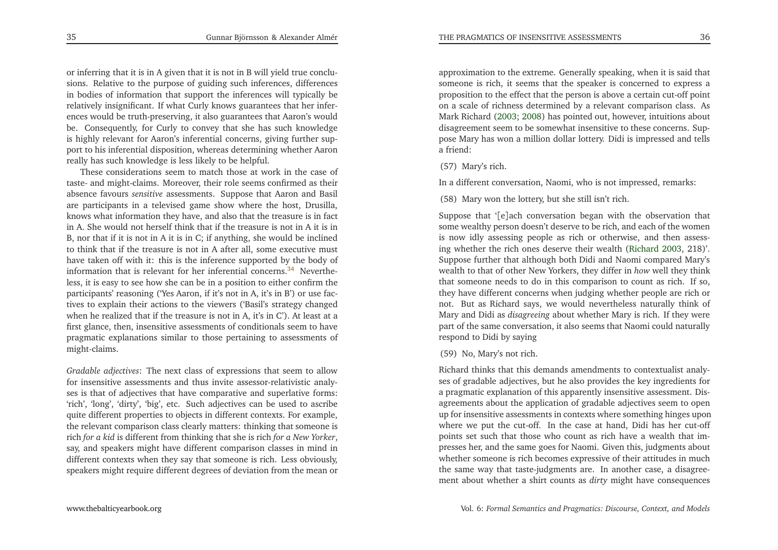or inferring that it is in <sup>A</sup> <sup>g</sup>iven that it is not in <sup>B</sup> will <sup>y</sup>ield true conclusions. Relative to the purpose of guiding such inferences, differences in bodies of information that suppor<sup>t</sup> the inferences will typically be relatively insignificant. If what Curly knows guarantees that her inferences would be truth-preserving, it also guarantees that Aaron's would be. Consequently, for Curly to convey that she has such knowledge is highly relevant for Aaron's inferential concerns, <sup>g</sup>iving further suppor<sup>t</sup> to his inferential disposition, whereas determining whether Aaronreally has such knowledge is less likely to be helpful.

These considerations seem to match those at work in the case of taste- and might-claims. Moreover, their role seems confirmed as their absence favours *sensitive* assessments. Suppose that Aaron and Basil are participants in <sup>a</sup> televised game show where the host, Drusilla, knows what information they have, and also that the treasure is in fact in A. She would not herself think that if the treasure is not in <sup>A</sup> it is in B, nor that if it is not in <sup>A</sup> it is in C; if anything, she would be inclined to think that if the treasure is not in <sup>A</sup> after all, some executive must have taken off with it: this is the inference supported by the body of information that is relevant for her inferential concerns.<sup>[34](#page-22-21)</sup> Nevertheless, it is easy to see how she can be in <sup>a</sup> position to either confirm the participants' reasoning ('Yes Aaron, if it's not in A, it's in B') or use factives to explain their actions to the viewers ('Basil's strategy changed when he realized that if the treasure is not in A, it's in C'). At least at <sup>a</sup> first <sup>g</sup>lance, then, insensitive assessments of conditionals seem to have pragmatic explanations similar to those pertaining to assessments ofmight-claims.

*Gradable adjectives*: The next class of expressions that seem to allow for insensitive assessments and thus invite assessor-relativistic analyses is that of adjectives that have comparative and superlative forms: 'rich', 'long', 'dirty', 'big', etc. Such adjectives can be used to ascribe quite different properties to objects in different contexts. For example, the relevant comparison class clearly matters: thinking that someone is rich *for <sup>a</sup> kid* is different from thinking that she is rich *for <sup>a</sup> New Yorker*, say, and speakers might have different comparison classes in mind in different contexts when they say that someone is rich. Less obviously, speakers might require different degrees of deviation from the mean or

approximation to the extreme. Generally speaking, when it is said that someone is rich, it seems that the speaker is concerned to express <sup>a</sup> proposition to the effect that the person is above <sup>a</sup> certain cut-off point on <sup>a</sup> scale of richness determined by <sup>a</sup> relevant comparison class. As Mark Richard [\(2003](#page-23-14); [2008](#page-23-15)) has pointed out, however, intuitions about disagreement seem to be somewhat insensitive to these concerns. Suppose Mary has won <sup>a</sup> million dollar lottery. Didi is impressed and tells <sup>a</sup> friend:

(57) Mary's rich.

In <sup>a</sup> different conversation, Naomi, who is not impressed, remarks:

(58) Mary won the lottery, but she still isn't rich.

Suppose that '[e]ach conversation began with the observation that some wealthy person doesn't deserve to be rich, and each of the women is now idly assessing people as rich or otherwise, and then assessing whether the rich ones deserve their wealth [\(Richard](#page-23-14) [2003](#page-23-14), 218)'. Suppose further that although both Didi and Naomi compared Mary's wealth to that of other New Yorkers, they differ in *how* well they think that someone needs to do in this comparison to count as rich. If so, they have different concerns when judging whether people are rich or not. But as Richard says, we would nevertheless naturally think of Mary and Didi as *disagreeing* about whether Mary is rich. If they were par<sup>t</sup> of the same conversation, it also seems that Naomi could naturally respond to Didi by saying

### <span id="page-18-0"></span>(59) No, Mary's not rich.

Richard thinks that this demands amendments to contextualist analyses of gradable adjectives, but he also provides the key ingredients for <sup>a</sup> pragmatic explanation of this apparently insensitive assessment. Disagreements about the application of gradable adjectives seem to open up for insensitive assessments in contexts where something hinges upon where we pu<sup>t</sup> the cut-off. In the case at hand, Didi has her cut-off points set such that those who count as rich have <sup>a</sup> wealth that impresses her, and the same goes for Naomi. Given this, judgments about whether someone is rich becomes expressive of their attitudes in much the same way that taste-judgments are. In another case, <sup>a</sup> disagreement about whether <sup>a</sup> shirt counts as *dirty* might have consequences

35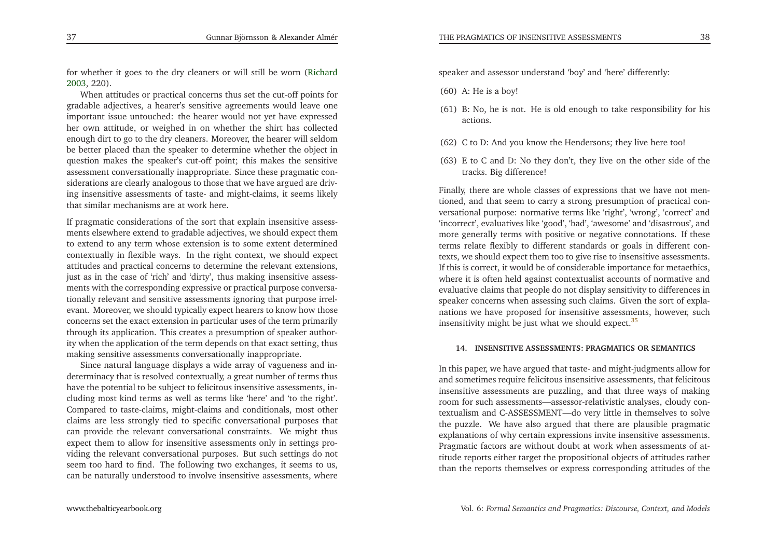for whether it goes to the dry cleaners or will still be worn [\(Richard](#page-23-14)[2003](#page-23-14), 220).

When attitudes or practical concerns thus set the cut-off points for gradable adjectives, <sup>a</sup> hearer's sensitive agreements would leave one important issue untouched: the hearer would not ye<sup>t</sup> have expressed her own attitude, or weighed in on whether the shirt has collected enough dirt to go to the dry cleaners. Moreover, the hearer will seldom be better <sup>p</sup>laced than the speaker to determine whether the object in question makes the speaker's cut-off point; this makes the sensitive assessment conversationally inappropriate. Since these pragmatic considerations are clearly analogous to those that we have argued are driving insensitive assessments of taste- and might-claims, it seems likelythat similar mechanisms are at work here.

<span id="page-19-0"></span>If pragmatic considerations of the sort that explain insensitive assessments elsewhere extend to gradable adjectives, we should expec<sup>t</sup> them to extend to any term whose extension is to some extent determined contextually in flexible ways. In the right context, we should expec<sup>t</sup> attitudes and practical concerns to determine the relevant extensions, just as in the case of 'rich' and 'dirty', thus making insensitive assessments with the corresponding expressive or practical purpose conversationally relevant and sensitive assessments ignoring that purpose irrelevant. Moreover, we should typically expec<sup>t</sup> hearers to know how those concerns set the exact extension in particular uses of the term primarily through its application. This creates <sup>a</sup> presumption of speaker authority when the application of the term depends on that exact setting, thusmaking sensitive assessments conversationally inappropriate.

Since natural language displays <sup>a</sup> wide array of vagueness and indeterminacy that is resolved contextually, <sup>a</sup> grea<sup>t</sup> number of terms thus have the potential to be subject to felicitous insensitive assessments, including most kind terms as well as terms like 'here' and 'to the right'. Compared to taste-claims, might-claims and conditionals, most other claims are less strongly tied to specific conversational purposes that can provide the relevant conversational constraints. We might thus expec<sup>t</sup> them to allow for insensitive assessments only in settings providing the relevant conversational purposes. But such settings do not seem too hard to find. The following two exchanges, it seems to us, can be naturally understood to involve insensitive assessments, where

speaker and assessor understand 'boy' and 'here' differently:

- (60) A: He is <sup>a</sup> boy!
- (61) B: No, he is not. He is old enough to take responsibility for hisactions.
- (62) <sup>C</sup> to D: And you know the Hendersons; they live here too!
- (63) <sup>E</sup> to <sup>C</sup> and D: No they don't, they live on the other side of thetracks. Big difference!

Finally, there are whole classes of expressions that we have not mentioned, and that seem to carry <sup>a</sup> strong presumption of practical conversational purpose: normative terms like 'right', 'wrong', 'correct' and 'incorrect', evaluatives like 'good', 'bad', 'awesome' and 'disastrous', and more generally terms with positive or negative connotations. If these terms relate flexibly to different standards or goals in different contexts, we should expec<sup>t</sup> them too to <sup>g</sup>ive rise to insensitive assessments. If this is correct, it would be of considerable importance for metaethics, where it is often held against contextualist accounts of normative and evaluative claims that people do not display sensitivity to differences in speaker concerns when assessing such claims. Given the sort of explanations we have proposed for insensitive assessments, however, suchinsensitivity might be just what we should expect. $35$ 

#### **14. INSENSITIVE ASSESSMENTS: PRAGMATICS OR SEMANTICS**

In this paper, we have argued that taste- and might-judgments allow for and sometimes require felicitous insensitive assessments, that felicitous insensitive assessments are puzzling, and that three ways of making room for such assessments—assessor-relativistic analyses, cloudy contextualism and C-ASSESSMENT—do very little in themselves to solve the puzzle. We have also argued that there are <sup>p</sup>lausible pragmatic explanations of why certain expressions invite insensitive assessments. Pragmatic factors are without doubt at work when assessments of attitude reports either target the propositional objects of attitudes ratherthan the reports themselves or express corresponding attitudes of the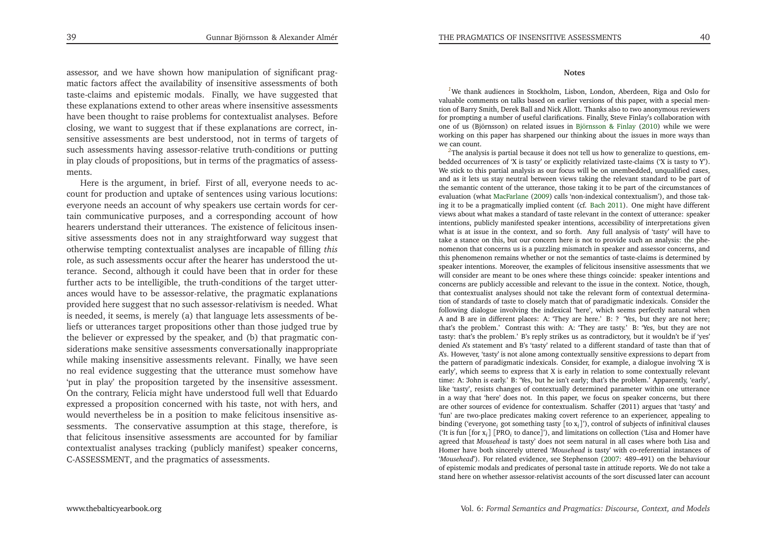assessor, and we have shown how manipulation of significant pragmatic factors affect the availability of insensitive assessments of both taste-claims and epistemic modals. Finally, we have suggested that these explanations extend to other areas where insensitive assessments have been thought to raise problems for contextualist analyses. Before closing, we want to sugges<sup>t</sup> that if these explanations are correct, insensitive assessments are best understood, not in terms of targets of such assessments having assessor-relative truth-conditions or putting in <sup>p</sup>lay clouds of propositions, but in terms of the pragmatics of assessments.

Here is the argument, in brief. First of all, everyone needs to account for production and uptake of sentences using various locutions: everyone needs an account of why speakers use certain words for certain communicative purposes, and <sup>a</sup> corresponding account of how hearers understand their utterances. The existence of felicitous insensitive assessments does not in any straightforward way sugges<sup>t</sup> that otherwise tempting contextualist analyses are incapable of filling *this* role, as such assessments occur after the hearer has understood the utterance. Second, although it could have been that in order for these further acts to be intelligible, the truth-conditions of the target utterances would have to be assessor-relative, the pragmatic explanations provided here sugges<sup>t</sup> that no such assessor-relativism is needed. What is needed, it seems, is merely (a) that language lets assessments of beliefs or utterances target propositions other than those judged true by the believer or expressed by the speaker, and (b) that pragmatic considerations make sensitive assessments conversationally inappropriate while making insensitive assessments relevant. Finally, we have seen no real evidence suggesting that the utterance must somehow have 'put in <sup>p</sup>lay' the proposition targeted by the insensitive assessment. On the contrary, Felicia might have understood full well that Eduardo expressed <sup>a</sup> proposition concerned with his taste, not with hers, and would nevertheless be in <sup>a</sup> position to make felicitous insensitive assessments. The conservative assumption at this stage, therefore, is that felicitous insensitive assessments are accounted for by familiar contextualist analyses tracking (publicly manifest) speaker concerns, C-ASSESSMENT, and the pragmatics of assessments.

#### **Notes**

*[1](#page-1-0)*We thank audiences in Stockholm, Lisbon, London, Aberdeen, Riga and Oslo for valuable comments on talks based on earlier versions of this paper, with <sup>a</sup> special mention of Barry Smith, Derek Ball and Nick Allott. Thanks also to two anonymous reviewers for prompting <sup>a</sup> number of useful clarifications. Finally, Steve Finlay's collaboration with one of us (Björnsson) on related issues in [Björnsson](#page-22-7) & Finlay [\(2010](#page-22-7)) while we were working on this paper has sharpened our thinking about the issues in more ways thanwe can count.

<span id="page-20-0"></span><sup>[2](#page-2-0)</sup>The analysis is partial because it does not tell us how to generalize to questions, embedded occurrences of 'X is tasty' or explicitly relativized taste-claims ('X is tasty to Y'). We stick to this partial analysis as our focus will be on unembedded, unqualified cases, and as it lets us stay neutral between views taking the relevant standard to be par<sup>t</sup> of the semantic content of the utterance, those taking it to be par<sup>t</sup> of the circumstances of evaluation (what [MacFarlane](#page-23-16) [\(2009](#page-23-16)) calls 'non-indexical contextualism'), and those taking it to be <sup>a</sup> pragmatically implied content (cf. [Bach](#page-22-3) [2011](#page-22-3)). One might have different views about what makes <sup>a</sup> standard of taste relevant in the context of utterance: speaker intentions, publicly manifested speaker intentions, accessibility of interpretations <sup>g</sup>iven what is at issue in the context, and so forth. Any full analysis of 'tasty' will have to take <sup>a</sup> stance on this, but our concern here is not to provide such an analysis: the <sup>p</sup>henomenon that concerns us is <sup>a</sup> puzzling mismatch in speaker and assessor concerns, and this <sup>p</sup>henomenon remains whether or not the semantics of taste-claims is determined by speaker intentions. Moreover, the examples of felicitous insensitive assessments that we will consider are meant to be ones where these things coincide: speaker intentions and concerns are publicly accessible and relevant to the issue in the context. Notice, though, that contextualist analyses should not take the relevant form of contextual determination of standards of taste to closely match that of paradigmatic indexicals. Consider the following dialogue involving the indexical 'here', which seems perfectly natural when <sup>A</sup> and <sup>B</sup> are in different <sup>p</sup>laces: A: 'They are here.' B: ? 'Yes, but they are not here; that's the problem.' Contrast this with: A: 'They are tasty.' B: 'Yes, but they are not tasty: that's the problem.' B's reply strikes us as contradictory, but it wouldn't be if 'yes' denied A's statement and B's 'tasty' related to <sup>a</sup> different standard of taste than that of A's. However, 'tasty' is not alone among contextually sensitive expressions to depart from the pattern of paradigmatic indexicals. Consider, for example, <sup>a</sup> dialogue involving 'X is early', which seems to express that <sup>X</sup> is early in relation to some contextually relevant time: A: 'John is early.' B: 'Yes, but he isn't early; that's the problem.' Apparently, 'early', like 'tasty', resists changes of contextually determined parameter within one utterance in <sup>a</sup> way that 'here' does not. In this paper, we focus on speaker concerns, but there are other sources of evidence for contextualism. Schaffer (2011) argues that 'tasty' and 'fun' are two-place predicates making covert reference to an experiencer, appealing to binding ('everyone*<sup>i</sup>* go<sup>t</sup> something tasty [to <sup>x</sup>*<sup>i</sup>* ]'), control of subjects of infinitival clauses('It is fun  $[for x_i]$   $[PRO_i$  to dance]'), and limitations on collection ('Lisa and Homer have<br>pareed that *Mouseheed* is tasty' does not seem natural in all cases where both Lisa and agreed that *Mousehead* is tasty' does not seem natural in all cases where both Lisa and Homer have both sincerely uttered '*Mousehead* is tasty' with co-referential instances of '*Mousehead*'). For related evidence, see Stephenson [\(2007](#page-23-7): 489–491) on the behaviour of epistemic modals and predicates of personal taste in attitude reports. We do not take <sup>a</sup>stand here on whether assessor-relativist accounts of the sort discussed later can account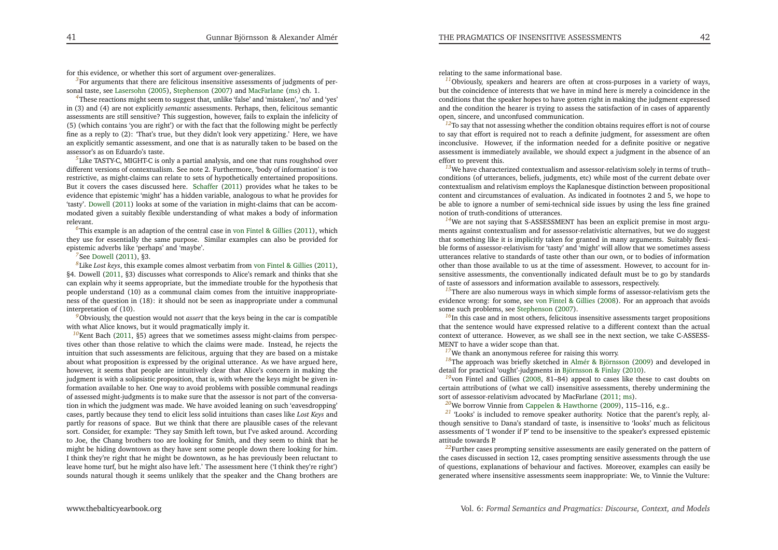<span id="page-21-19"></span>for this evidence, or whether this sort of argumen<sup>t</sup> over-generalizes.

<span id="page-21-15"></span><span id="page-21-14"></span><span id="page-21-7"></span><sup>[3](#page-3-0)</sup>For arguments that there are felicitous insensitive assessments of judgments of personal taste, see [Lasersohn](#page-23-6) [\(2005](#page-23-6)), [Stephenson](#page-23-7) [\(2007\)](#page-23-7) and [MacFarlane](#page-23-8) [\(ms](#page-23-8)) ch. 1.

<span id="page-21-6"></span>*[4](#page-3-1)*These reactions might seem to sugges<sup>t</sup> that, unlike 'false' and 'mistaken', 'no' and 'yes' in (3) and (4) are not explicitly *semantic* assessments. Perhaps, then, felicitous semantic assessments are still sensitive? This suggestion, however, fails to explain the infelicity of (5) (which contains 'you are right') or with the fact that the following might be perfectly fine as <sup>a</sup> reply to (2): 'That's true, but they didn't look very appetizing.' Here, we have an explicitly semantic assessment, and one that is as naturally taken to be based on theassessor's as on Eduardo's taste.

<span id="page-21-13"></span>*[5](#page-4-0)*Like TASTY-C, MIGHT-C is only <sup>a</sup> partial analysis, and one that runs roughshod over different versions of contextualism. See note 2. Furthermore, 'body of information' is too restrictive, as might-claims can relate to sets of hypothetically entertained propositions. But it covers the cases discussed here. [Schaffer](#page-23-3) [\(2011](#page-23-3)) provides what he takes to be evidence that epistemic 'might' has <sup>a</sup> hidden variable, analogous to what he provides for 'tasty'. [Dowell](#page-22-4) [\(2011](#page-22-4)) looks at some of the variation in might-claims that can be accommodated <sup>g</sup>iven <sup>a</sup> suitably flexible understanding of what makes <sup>a</sup> body of informationrelevant.

 *[6](#page-4-1)*This example is an adaption of the central case in von Fintel & [Gillies](#page-23-10) [\(2011](#page-23-10)), which they use for essentially the same purpose. Similar examples can also be provided for epistemic adverbs like 'perhaps' and 'maybe'.

## <span id="page-21-18"></span><span id="page-21-17"></span><span id="page-21-16"></span>*[7](#page-5-0)*See [Dowell](#page-22-4) [\(2011](#page-22-4)), §3.

*[8](#page-6-0)*Like *Lost keys*, this example comes almost verbatim from von Fintel & [Gillies](#page-23-10) [\(2011](#page-23-10)), §4. Dowell [\(2011](#page-22-4), §3) discusses what corresponds to Alice's remark and thinks that she can explain why it seems appropriate, but the immediate trouble for the hypothesis that people understand (10) as <sup>a</sup> communal claim comes from the intuitive inappropriateness of the question in (18): it should not be seen as inappropriate under <sup>a</sup> communalinterpretation of (10).

*[9](#page-6-1)*Obviously, the question would not *assert* that the keys being in the car is compatiblewith what Alice knows, but it would pragmatically imply it.

*[10](#page-6-2)*Kent Bach [\(2011](#page-22-3), §5) agrees that we sometimes assess might-claims from perspectives other than those relative to which the claims were made. Instead, he rejects the intuition that such assessments are felicitous, arguing that they are based on <sup>a</sup> mistake about what proposition is expressed by the original utterance. As we have argued here, however, it seems that people are intuitively clear that Alice's concern in making the judgment is with <sup>a</sup> solipsistic proposition, that is, with where the keys might be <sup>g</sup>iven information available to her. One way to avoid problems with possible communal readings of assessed might-judgments is to make sure that the assessor is not par<sup>t</sup> of the conversation in which the judgment was made. We have avoided leaning on such 'eavesdropping' cases, partly because they tend to elicit less solid intuitions than cases like *Lost Keys* and partly for reasons of space. But we think that there are <sup>p</sup>lausible cases of the relevant sort. Consider, for example: 'They say Smith left town, but I've asked around. According to Joe, the Chang brothers too are looking for Smith, and they seem to think that he might be hiding downtown as they have sent some people down there looking for him. <sup>I</sup> think they're right that he might be downtown, as he has previously been reluctant to leave home turf, but he might also have left.' The assessment here ('I think they're right')sounds natural though it seems unlikely that the speaker and the Chang brothers are

<span id="page-21-12"></span><span id="page-21-11"></span><span id="page-21-10"></span><span id="page-21-9"></span><span id="page-21-8"></span><span id="page-21-0"></span>relating to the same informational base.

<span id="page-21-2"></span>*[11](#page-7-0)*Obviously, speakers and hearers are often at cross-purposes in <sup>a</sup> variety of ways, but the coincidence of interests that we have in mind here is merely <sup>a</sup> coincidence in the conditions that the speaker hopes to have gotten right in making the judgment expressed and the condition the hearer is trying to assess the satisfaction of in cases of apparentlyopen, sincere, and unconfused communication.

<span id="page-21-5"></span><span id="page-21-3"></span><sup>[12](#page-7-1)</sup>To say that not assessing whether the condition obtains requires effort is not of course to say that effort is required not to reach <sup>a</sup> definite judgment, for assessment are often inconclusive. However, if the information needed for <sup>a</sup> definite positive or negative assessment is immediately available, we should expec<sup>t</sup> <sup>a</sup> judgment in the absence of aneffort to preven<sup>t</sup> this.

*[13](#page-8-0)*We have characterized contextualism and assessor-relativism solely in terms of truth– conditions (of utterances, beliefs, judgments, etc) while most of the current debate over contextualism and relativism employs the Kaplanesque distinction between propositional content and circumstances of evaluation. As indicated in footnotes <sup>2</sup> and 5, we hope to be able to ignore <sup>a</sup> number of semi-technical side issues by using the less fine grainednotion of truth-conditions of utterances.

*[14](#page-8-1)*We are not saying that S-ASSESSMENT has been an explicit premise in most arguments against contextualism and for assessor-relativistic alternatives, but we do sugges<sup>t</sup> that something like it is implicitly taken for granted in many arguments. Suitably flexible forms of assessor-relativism for 'tasty' and 'might' will allow that we sometimes assess utterances relative to standards of taste other than our own, or to bodies of information other than those available to us at the time of assessment. However, to account for insensitive assessments, the conventionally indicated default must be to go by standardsof taste of assessors and information available to assessors, respectively.

<span id="page-21-1"></span><sup>[15](#page-8-2)</sup>There are also numerous ways in which simple forms of assessor-relativism gets the evidence wrong: for some, see von Fintel & [Gillies](#page-23-17) [\(2008](#page-23-17)). For an approac<sup>h</sup> that avoids some such problems, see [Stephenson](#page-23-7) [\(2007](#page-23-7)).

<span id="page-21-4"></span><sup>[16](#page-10-0)</sup>In this case and in most others, felicitous insensitive assessments target propositions that the sentence would have expressed relative to <sup>a</sup> different context than the actual context of utterance. However, as we shall see in the next section, we take C-ASSESS-MENT to have <sup>a</sup> wider scope than that.

*[17](#page-10-1)*We thank an anonymous referee for raising this worry.

*[18](#page-11-0)*The approac<sup>h</sup> was briefly sketched in Almér & [Björnsson](#page-22-6) [\(2009](#page-22-6)) and developed in detail for practical 'ought'-judgments in [Björnsson](#page-22-7) & Finlay [\(2010\)](#page-22-7).

*[19](#page-11-1)*von Fintel and Gillies [\(2008](#page-23-17), 81–84) appea<sup>l</sup> to cases like these to cast doubts on certain attributions of (what we call) insensitive assessments, thereby undermining thesort of assessor-relativism advocated by MacFarlane [\(2011](#page-23-4); [ms](#page-23-8)).

*[20](#page-13-0)*We borrow Vinnie from Cappelen & [Hawthorne](#page-22-0) [\(2009](#page-22-0)), 115–116, e.g..

*[21](#page-13-1)* 'Looks' is included to remove speaker authority. Notice that the parent's reply, although sensitive to Dana's standard of taste, is insensitive to 'looks' much as felicitous assessments of 'I wonder if P' tend to be insensitive to the speaker's expressed epistemicattitude towards P.

<sup>[22](#page-13-2)</sup>Further cases prompting sensitive assessments are easily generated on the pattern of the cases discussed in section 12, cases prompting sensitive assessments through the use of questions, explanations of behaviour and factives. Moreover, examples can easily begenerated where insensitive assessments seem inappropriate: We, to Vinnie the Vulture: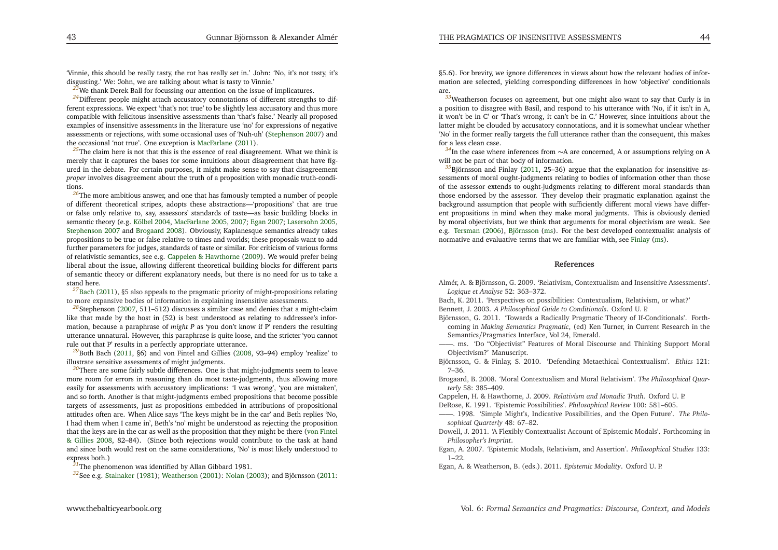<span id="page-22-25"></span><span id="page-22-24"></span><span id="page-22-23"></span><span id="page-22-19"></span><span id="page-22-7"></span><span id="page-22-5"></span><span id="page-22-4"></span><span id="page-22-2"></span><span id="page-22-1"></span><span id="page-22-0"></span>'Vinnie, this should be really tasty, the rot has really set in.' John: 'No, it's not tasty, it'sdisgusting.' We: 'John, we are talking about what is tasty to Vinnie.'

<span id="page-22-17"></span><span id="page-22-16"></span><span id="page-22-14"></span>*[23](#page-14-0)*We thank Derek Ball for focussing our attention on the issue of implicatures.

<sup>[24](#page-14-1)</sup>Different people might attach accusatory connotations of different strengths to different expressions. We expec<sup>t</sup> 'that's not true' to be slightly less accusatory and thus more compatible with felicitous insensitive assessments than 'that's false.' Nearly all proposed examples of insensitive assessments in the literature use 'no' for expressions of negative assessments or rejections, with some occasional uses of 'Nuh-uh' [\(Stephenson](#page-23-7) [2007\)](#page-23-7) andthe occasional 'not true'. One exception is [MacFarlane](#page-23-4) [\(2011](#page-23-4)).

<sup>[25](#page-15-0)</sup>The claim here is not that this is the essence of real disagreement. What we think is merely that it captures the bases for some intuitions about disagreement that have figured in the debate. For certain purposes, it might make sense to say that disagreement *proper* involves disagreement about the truth of <sup>a</sup> proposition with monadic truth-conditions.

<span id="page-22-15"></span> *[26](#page-15-1)*The more ambitious answer, and one that has famously tempted <sup>a</sup> number of people of different theoretical stripes, adopts these abstractions—'propositions' that are true or false only relative to, say, assessors' standards of taste—as basic building blocks in semantic theory (e.g. [Kölbel](#page-23-11) [2004](#page-23-11), [MacFarlane](#page-23-18) [2005,](#page-23-18) [2007](#page-23-9); [Egan](#page-22-5) [2007](#page-22-5); [Lasersohn](#page-23-6) [2005](#page-23-6), [Stephenson](#page-23-7) [2007](#page-23-7) and [Brogaard](#page-22-23) [2008](#page-22-23)). Obviously, Kaplanesque semantics already takes propositions to be true or false relative to times and worlds; these proposals want to add further parameters for judges, standards of taste or similar. For criticism of various forms of relativistic semantics, see e.g. Cappelen & [Hawthorne](#page-22-0) [\(2009\)](#page-22-0). We would prefer being liberal about the issue, allowing different theoretical building blocks for different parts of semantic theory or different explanatory needs, but there is no need for us to take <sup>a</sup>stand here.

*[27](#page-16-0)*[Bach](#page-22-3) [\(2011](#page-22-3)), §5 also appeals to the pragmatic priority of might-propositions relating to more expansive bodies of information in explaining insensitive assessments.

*[28](#page-16-1)*Stephenson [\(2007](#page-23-7), 511–512) discusses <sup>a</sup> similar case and denies that <sup>a</sup> might-claim like that made by the host in (52) is best understood as relating to addressee's information, because <sup>a</sup> paraphrase of *might <sup>P</sup>* as 'you don't know if P' renders the resulting utterance unnatural. However, this paraphrase is quite loose, and the stricter 'you cannotrule out that P' results in <sup>a</sup> perfectly appropriate utterance.

<sup>[29](#page-16-2)</sup>Both Bach [\(2011](#page-22-3), §6) and von Fintel and Gillies [\(2008](#page-23-17), 93–94) employ 'realize' to illustrate sensitive assessments of might judgments.

*[30](#page-16-3)*There are some fairly subtle differences. One is that might-judgments seem to leave more room for errors in reasoning than do most taste-judgments, thus allowing more easily for assessments with accusatory implications: 'I was wrong', 'you are mistaken', and so forth. Another is that might-judgments embed propositions that become possible targets of assessments, just as propositions embedded in attributions of propositional attitudes often are. When Alice says 'The keys might be in the car' and Beth replies 'No, <sup>I</sup> had them when <sup>I</sup> came in', Beth's 'no' might be understood as rejecting the proposition that the keys are in the car as well as the [p](#page-23-17)ro[p](#page-23-17)osition that they might be there (von Fintel & Gillies [2008](#page-23-17), 82–84). (Since both rejections would contribute to the task at hand and since both would rest on the same considerations, 'No' is most likely understood toexpress both.)

*[31](#page-17-0)*The <sup>p</sup>henomenon was identified by Allan Gibbard 1981.

*[32](#page-17-1)*See e.g. [Stalnaker](#page-23-19) [\(1981\)](#page-23-19); [Weatherson](#page-23-20) [\(2001](#page-23-20)): [Nolan](#page-23-21) [\(2003](#page-23-21)); and Björnsson [\(2011](#page-22-24):

<span id="page-22-21"></span><span id="page-22-20"></span><span id="page-22-18"></span><span id="page-22-13"></span><span id="page-22-11"></span><span id="page-22-9"></span><span id="page-22-8"></span><span id="page-22-6"></span><span id="page-22-3"></span>§5.6). For brevity, we ignore differences in views about how the relevant bodies of information are selected, <sup>y</sup>ielding corresponding differences in how 'objective' conditionalsare.

 *[33](#page-17-2)*Weatherson focuses on agreement, but one might also want to say that Curly is in <sup>a</sup> position to disagree with Basil, and respond to his utterance with 'No, if it isn't in A, it won't be in C' or 'That's wrong, it can't be in C.' However, since intuitions about the latter might be clouded by accusatory connotations, and it is somewhat unclear whether 'No' in the former really targets the full utterance rather than the consequent, this makesfor <sup>a</sup> less clean case.

*[34](#page-18-0)*In the case where inferences from ∼A are concerned, A or assumptions relying on A<br>ill net be next of that bady of information will not be par<sup>t</sup> of that body of information.

*[35](#page-19-0)*Björnsson and Finlay [\(2011](#page-22-24), 25–36) argue that the explanation for insensitive assessments of moral ought-judgments relating to bodies of information other than those of the assessor extends to ought-judgments relating to different moral standards than those endorsed by the assessor. They develop their pragmatic explanation against the background assumption that people with sufficiently different moral views have different propositions in mind when they make moral judgments. This is obviously denied by moral objectivists, but we think that arguments for moral objectivism are weak. See e.g. [Tersman](#page-23-22) [\(2006](#page-23-22)), [Björnsson](#page-22-25) [\(ms\)](#page-22-25). For the best developed contextualist analysis of normative and evaluative terms that we are familiar with, see [Finlay](#page-23-23) [\(ms](#page-23-23)).

#### **References**

<span id="page-22-22"></span><span id="page-22-12"></span><span id="page-22-10"></span>Almér, A. & Björnsson, G. 2009. 'Relativism, Contextualism and Insensitive Assessments'. *Logique et Analyse* 52: 363–372.

Bach, K. 2011. 'Perspectives on possibilities: Contextualism, Relativism, or what?' Bennett, J. 2003. *<sup>A</sup> Philosophical Guide to Conditionals*. Oxford U. P.

Björnsson, G. 2011. 'Towards <sup>a</sup> Radically Pragmatic Theory of If-Conditionals'. Forthcoming in *Making Semantics Pragmatic*, (ed) Ken Turner, in Current Research in the Semantics/Pragmatics Interface, Vol 24, Emerald.

——. ms. 'Do "Objectivist" Features of Moral Discourse and Thinking Support MoralObjectivism?' Manuscript.

- Björnsson, G. & Finlay, S. 2010. 'Defending Metaethical Contextualism'. *Ethics* 121: 7–36.
- Brogaard, B. 2008. 'Moral Contextualism and Moral Relativism'. *The Philosophical Quarterly* 58: 385–409.

Cappelen, H. & Hawthorne, J. 2009. *Relativism and Monadic Truth*. Oxford U. P. DeRose, K. 1991. 'Epistemic Possibilities'. *Philosophical Review* 100: 581–605.

——. 1998. 'Simple Might's, Indicative Possibilities, and the Open Future'. *The Philosophical Quarterly* 48: 67–82.

- Dowell, J. 2011. 'A Flexibly Contextualist Account of Epistemic Modals'. Forthcoming in*Philosopher's Imprint*.
- Egan, A. 2007. 'Epistemic Modals, Relativism, and Assertion'. *Philosophical Studies* 133: 1–22.

Egan, A. & Weatherson, B. (eds.). 2011. *Epistemic Modality*. Oxford U. P.